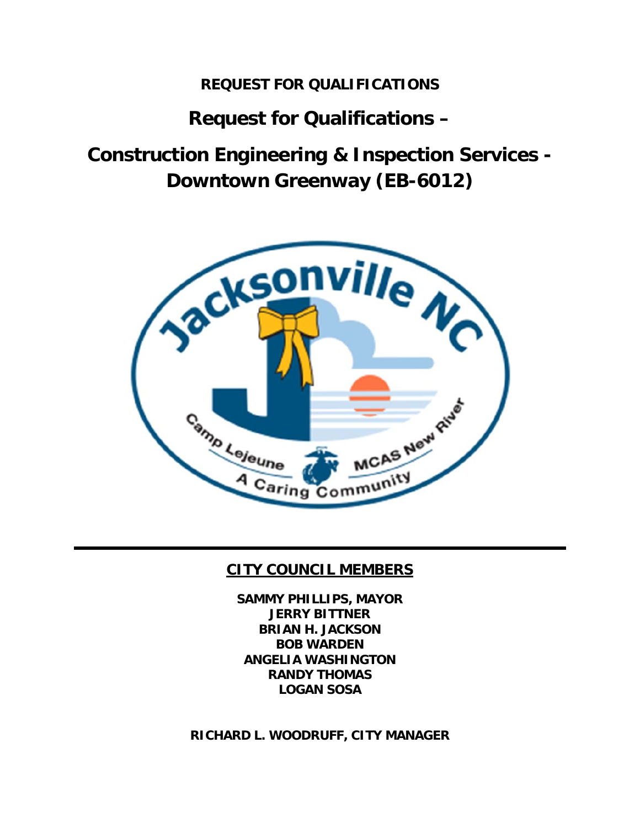## **REQUEST FOR QUALIFICATIONS**

# **Request for Qualifications –**

**Construction Engineering & Inspection Services - Downtown Greenway (EB-6012)** 



## **CITY COUNCIL MEMBERS**

**SAMMY PHILLIPS, MAYOR JERRY BITTNER BRIAN H. JACKSON BOB WARDEN ANGELIA WASHINGTON RANDY THOMAS LOGAN SOSA** 

**RICHARD L. WOODRUFF, CITY MANAGER**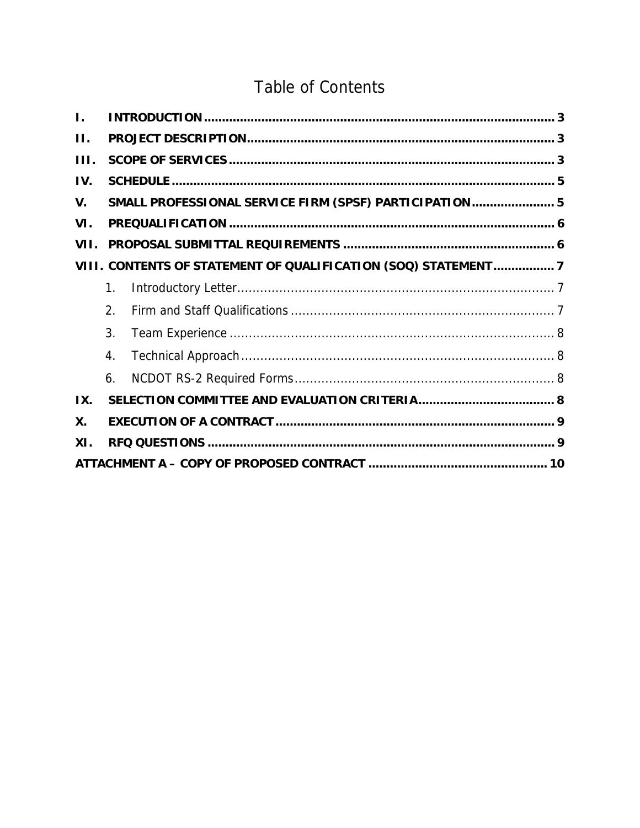# **Table of Contents**

| $\mathbf{L}$ |                  |                                                               |  |
|--------------|------------------|---------------------------------------------------------------|--|
| $\Pi$ .      |                  |                                                               |  |
| III.         |                  |                                                               |  |
| IV.          |                  |                                                               |  |
| V.           |                  | SMALL PROFESSIONAL SERVICE FIRM (SPSF) PARTICIPATION 5        |  |
| VI.          |                  |                                                               |  |
| VII.         |                  |                                                               |  |
|              |                  | VIII. CONTENTS OF STATEMENT OF QUALIFICATION (SOQ) STATEMENT7 |  |
|              | $\mathbf{1}$ .   |                                                               |  |
|              | 2.               |                                                               |  |
|              | 3.               |                                                               |  |
|              | $\overline{4}$ . |                                                               |  |
|              | 6.               |                                                               |  |
| IX.          |                  |                                                               |  |
| X.           |                  |                                                               |  |
| XI.          |                  |                                                               |  |
|              |                  |                                                               |  |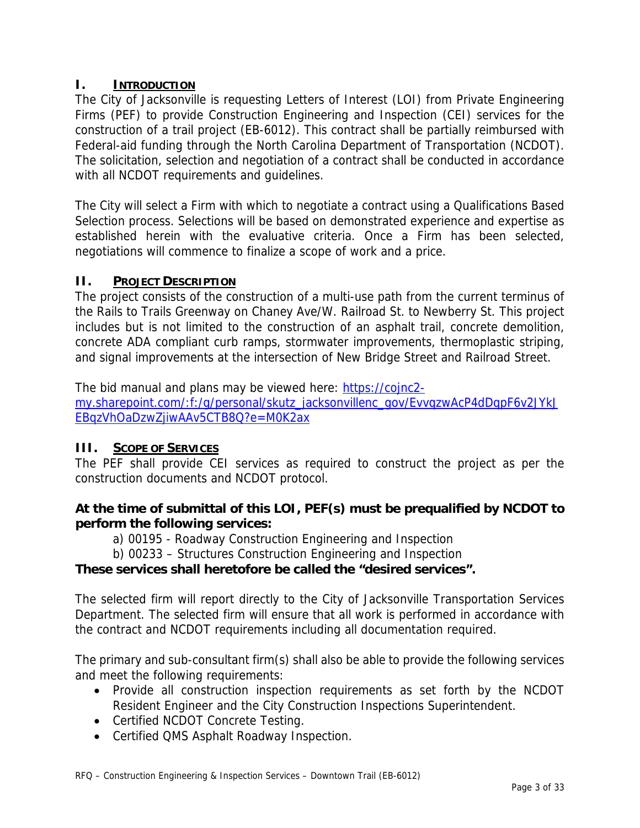## **I. INTRODUCTION**

The City of Jacksonville is requesting Letters of Interest (LOI) from Private Engineering Firms (PEF) to provide Construction Engineering and Inspection (CEI) services for the construction of a trail project (EB-6012). This contract shall be partially reimbursed with Federal-aid funding through the North Carolina Department of Transportation (NCDOT). The solicitation, selection and negotiation of a contract shall be conducted in accordance with all NCDOT requirements and guidelines.

The City will select a Firm with which to negotiate a contract using a Qualifications Based Selection process. Selections will be based on demonstrated experience and expertise as established herein with the evaluative criteria. Once a Firm has been selected, negotiations will commence to finalize a scope of work and a price.

### **II. PROJECT DESCRIPTION**

The project consists of the construction of a multi-use path from the current terminus of the Rails to Trails Greenway on Chaney Ave/W. Railroad St. to Newberry St. This project includes but is not limited to the construction of an asphalt trail, concrete demolition, concrete ADA compliant curb ramps, stormwater improvements, thermoplastic striping, and signal improvements at the intersection of New Bridge Street and Railroad Street.

The bid manual and plans may be viewed here: https://cojnc2 my.sharepoint.com/:f:/g/personal/skutz\_jacksonvillenc\_gov/EvvqzwAcP4dDqpF6v2JYkJ EBqzVhOaDzwZjiwAAv5CTB8Q?e=M0K2ax

## **III. SCOPE OF SERVICES**

The PEF shall provide CEI services as required to construct the project as per the construction documents and NCDOT protocol.

## **At the time of submittal of this LOI, PEF(s) must be prequalified by NCDOT to perform the following services:**

a) 00195 - Roadway Construction Engineering and Inspection

b) 00233 – Structures Construction Engineering and Inspection

## **These services shall heretofore be called the "desired services".**

The selected firm will report directly to the City of Jacksonville Transportation Services Department. The selected firm will ensure that all work is performed in accordance with the contract and NCDOT requirements including all documentation required.

The primary and sub-consultant firm(s) shall also be able to provide the following services and meet the following requirements:

- Provide all construction inspection requirements as set forth by the NCDOT Resident Engineer and the City Construction Inspections Superintendent.
- Certified NCDOT Concrete Testing.
- Certified QMS Asphalt Roadway Inspection.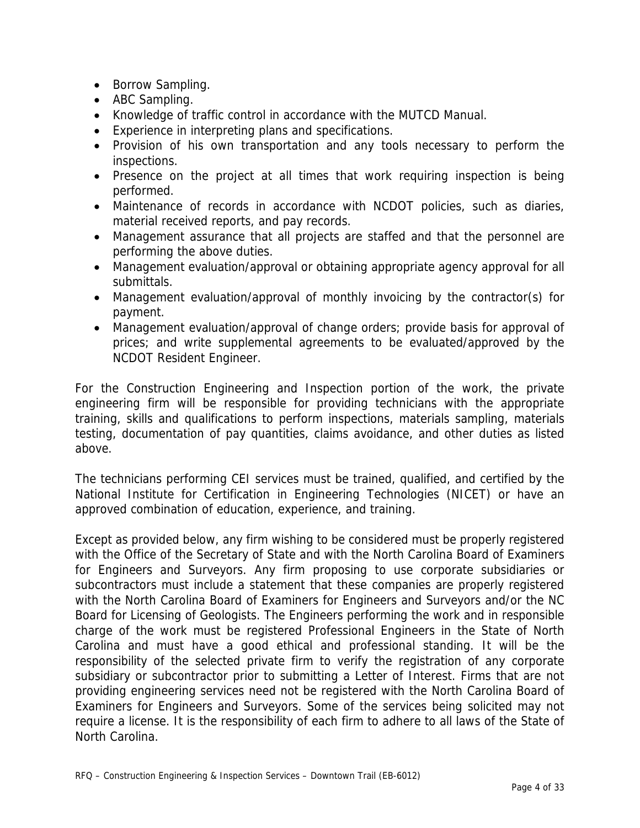- Borrow Sampling.
- ABC Sampling.
- Knowledge of traffic control in accordance with the MUTCD Manual.
- Experience in interpreting plans and specifications.
- Provision of his own transportation and any tools necessary to perform the inspections.
- Presence on the project at all times that work requiring inspection is being performed.
- Maintenance of records in accordance with NCDOT policies, such as diaries, material received reports, and pay records.
- Management assurance that all projects are staffed and that the personnel are performing the above duties.
- Management evaluation/approval or obtaining appropriate agency approval for all submittals.
- Management evaluation/approval of monthly invoicing by the contractor(s) for payment.
- Management evaluation/approval of change orders; provide basis for approval of prices; and write supplemental agreements to be evaluated/approved by the NCDOT Resident Engineer.

For the Construction Engineering and Inspection portion of the work, the private engineering firm will be responsible for providing technicians with the appropriate training, skills and qualifications to perform inspections, materials sampling, materials testing, documentation of pay quantities, claims avoidance, and other duties as listed above.

The technicians performing CEI services must be trained, qualified, and certified by the National Institute for Certification in Engineering Technologies (NICET) or have an approved combination of education, experience, and training.

Except as provided below, any firm wishing to be considered must be properly registered with the Office of the Secretary of State and with the North Carolina Board of Examiners for Engineers and Surveyors. Any firm proposing to use corporate subsidiaries or subcontractors must include a statement that these companies are properly registered with the North Carolina Board of Examiners for Engineers and Surveyors and/or the NC Board for Licensing of Geologists. The Engineers performing the work and in responsible charge of the work must be registered Professional Engineers in the State of North Carolina and must have a good ethical and professional standing. It will be the responsibility of the selected private firm to verify the registration of any corporate subsidiary or subcontractor prior to submitting a Letter of Interest. Firms that are not providing engineering services need not be registered with the North Carolina Board of Examiners for Engineers and Surveyors. Some of the services being solicited may not require a license. It is the responsibility of each firm to adhere to all laws of the State of North Carolina.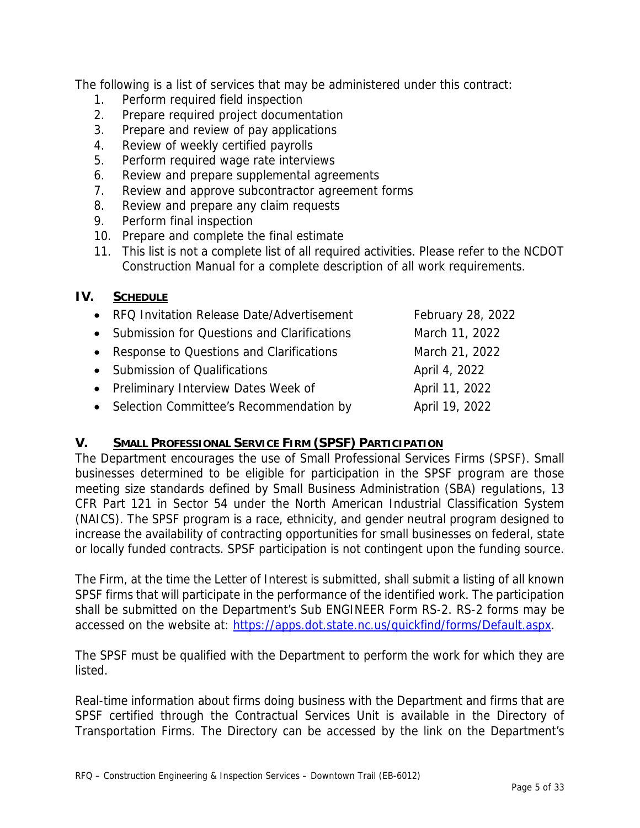The following is a list of services that may be administered under this contract:

- 1. Perform required field inspection
- 2. Prepare required project documentation
- 3. Prepare and review of pay applications
- 4. Review of weekly certified payrolls
- 5. Perform required wage rate interviews
- 6. Review and prepare supplemental agreements
- 7. Review and approve subcontractor agreement forms
- 8. Review and prepare any claim requests
- 9. Perform final inspection
- 10. Prepare and complete the final estimate
- 11. This list is not a complete list of all required activities. Please refer to the NCDOT Construction Manual for a complete description of all work requirements.

#### **IV. SCHEDULE**

| • RFQ Invitation Release Date/Advertisement   | February 28, 2022 |
|-----------------------------------------------|-------------------|
| • Submission for Questions and Clarifications | March 11, 2022    |
| • Response to Questions and Clarifications    | March 21, 2022    |
| • Submission of Qualifications                | April 4, 2022     |
| • Preliminary Interview Dates Week of         | April 11, 2022    |
| • Selection Committee's Recommendation by     | April 19, 2022    |

#### **V. SMALL PROFESSIONAL SERVICE FIRM (SPSF) PARTICIPATION**

The Department encourages the use of Small Professional Services Firms (SPSF). Small businesses determined to be eligible for participation in the SPSF program are those meeting size standards defined by Small Business Administration (SBA) regulations, 13 CFR Part 121 in Sector 54 under the North American Industrial Classification System (NAICS). The SPSF program is a race, ethnicity, and gender neutral program designed to increase the availability of contracting opportunities for small businesses on federal, state or locally funded contracts. SPSF participation is not contingent upon the funding source.

The Firm, at the time the Letter of Interest is submitted, shall submit a listing of all known SPSF firms that will participate in the performance of the identified work. The participation shall be submitted on the Department's Sub ENGINEER Form RS-2. RS-2 forms may be accessed on the website at: https://apps.dot.state.nc.us/quickfind/forms/Default.aspx.

The SPSF must be qualified with the Department to perform the work for which they are listed.

Real-time information about firms doing business with the Department and firms that are SPSF certified through the Contractual Services Unit is available in the Directory of Transportation Firms. The Directory can be accessed by the link on the Department's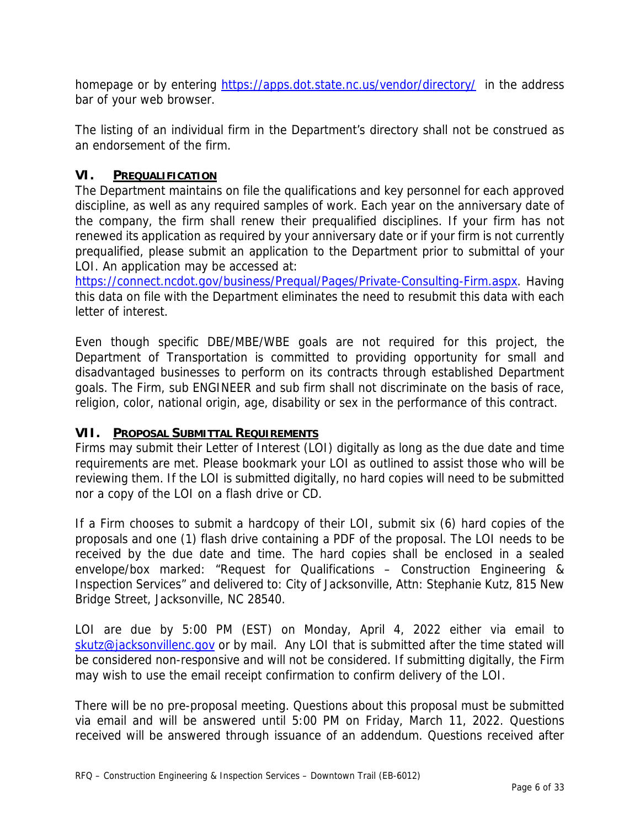homepage or by entering https://apps.dot.state.nc.us/vendor/directory/ in the address bar of your web browser.

The listing of an individual firm in the Department's directory shall not be construed as an endorsement of the firm.

#### **VI. PREQUALIFICATION**

The Department maintains on file the qualifications and key personnel for each approved discipline, as well as any required samples of work. Each year on the anniversary date of the company, the firm shall renew their prequalified disciplines. If your firm has not renewed its application as required by your anniversary date or if your firm is not currently prequalified, please submit an application to the Department prior to submittal of your LOI. An application may be accessed at:

https://connect.ncdot.gov/business/Prequal/Pages/Private-Consulting-Firm.aspx. Having this data on file with the Department eliminates the need to resubmit this data with each letter of interest.

Even though specific DBE/MBE/WBE goals are not required for this project, the Department of Transportation is committed to providing opportunity for small and disadvantaged businesses to perform on its contracts through established Department goals. The Firm, sub ENGINEER and sub firm shall not discriminate on the basis of race, religion, color, national origin, age, disability or sex in the performance of this contract.

#### **VII. PROPOSAL SUBMITTAL REQUIREMENTS**

Firms may submit their Letter of Interest (LOI) digitally as long as the due date and time requirements are met. Please bookmark your LOI as outlined to assist those who will be reviewing them. If the LOI is submitted digitally, no hard copies will need to be submitted nor a copy of the LOI on a flash drive or CD.

If a Firm chooses to submit a hardcopy of their LOI, submit six (6) hard copies of the proposals and one (1) flash drive containing a PDF of the proposal. The LOI needs to be received by the due date and time. The hard copies shall be enclosed in a sealed envelope/box marked: "Request for Qualifications – Construction Engineering & Inspection Services" and delivered to: City of Jacksonville, Attn: Stephanie Kutz, 815 New Bridge Street, Jacksonville, NC 28540.

LOI are due by 5:00 PM (EST) on Monday, April 4, 2022 either via email to skutz@jacksonvillenc.gov or by mail. Any LOI that is submitted after the time stated will be considered non-responsive and will not be considered. If submitting digitally, the Firm may wish to use the email receipt confirmation to confirm delivery of the LOI.

There will be no pre-proposal meeting. Questions about this proposal must be submitted via email and will be answered until 5:00 PM on Friday, March 11, 2022. Questions received will be answered through issuance of an addendum. Questions received after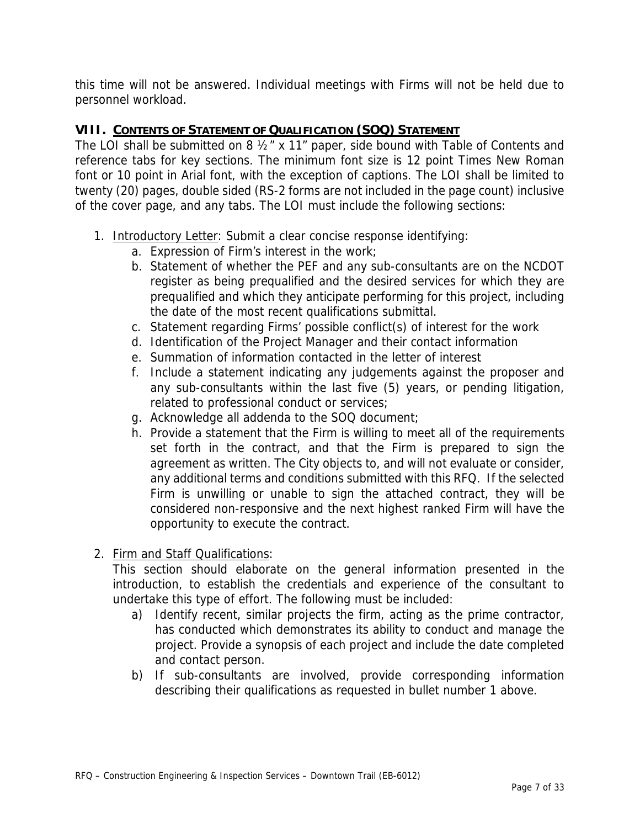this time will not be answered. Individual meetings with Firms will not be held due to personnel workload.

#### **VIII. CONTENTS OF STATEMENT OF QUALIFICATION (SOQ) STATEMENT**

The LOI shall be submitted on 8 ½" x 11" paper, side bound with Table of Contents and reference tabs for key sections. The minimum font size is 12 point Times New Roman font or 10 point in Arial font, with the exception of captions. The LOI shall be limited to twenty (20) pages, double sided (RS-2 forms are not included in the page count) inclusive of the cover page, and any tabs. The LOI must include the following sections:

- 1. Introductory Letter: Submit a clear concise response identifying:
	- a. Expression of Firm's interest in the work;
	- b. Statement of whether the PEF and any sub-consultants are on the NCDOT register as being prequalified and the desired services for which they are prequalified and which they anticipate performing for this project, including the date of the most recent qualifications submittal.
	- c. Statement regarding Firms' possible conflict(s) of interest for the work
	- d. Identification of the Project Manager and their contact information
	- e. Summation of information contacted in the letter of interest
	- f. Include a statement indicating any judgements against the proposer and any sub-consultants within the last five (5) years, or pending litigation, related to professional conduct or services;
	- g. Acknowledge all addenda to the SOQ document;
	- h. Provide a statement that the Firm is willing to meet all of the requirements set forth in the contract, and that the Firm is prepared to sign the agreement as written. The City objects to, and will not evaluate or consider, any additional terms and conditions submitted with this RFQ. If the selected Firm is unwilling or unable to sign the attached contract, they will be considered non-responsive and the next highest ranked Firm will have the opportunity to execute the contract.
- 2. Firm and Staff Qualifications:

This section should elaborate on the general information presented in the introduction, to establish the credentials and experience of the consultant to undertake this type of effort. The following must be included:

- a) Identify recent, similar projects the firm, acting as the prime contractor, has conducted which demonstrates its ability to conduct and manage the project. Provide a synopsis of each project and include the date completed and contact person.
- b) If sub-consultants are involved, provide corresponding information describing their qualifications as requested in bullet number 1 above.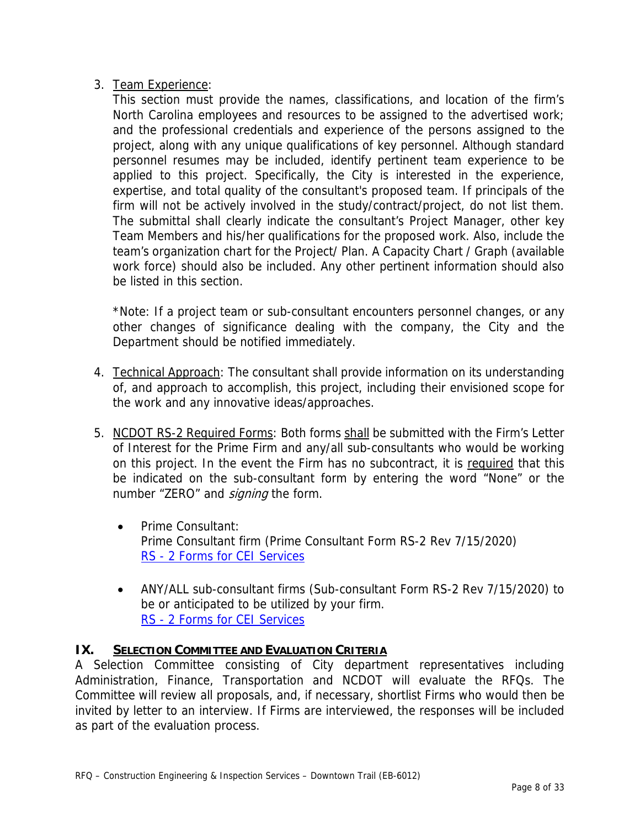## 3. Team Experience:

This section must provide the names, classifications, and location of the firm's North Carolina employees and resources to be assigned to the advertised work; and the professional credentials and experience of the persons assigned to the project, along with any unique qualifications of key personnel. Although standard personnel resumes may be included, identify pertinent team experience to be applied to this project. Specifically, the City is interested in the experience, expertise, and total quality of the consultant's proposed team. If principals of the firm will not be actively involved in the study/contract/project, do not list them. The submittal shall clearly indicate the consultant's Project Manager, other key Team Members and his/her qualifications for the proposed work. Also, include the team's organization chart for the Project/ Plan. A Capacity Chart / Graph (available work force) should also be included. Any other pertinent information should also be listed in this section.

\*Note: If a project team or sub-consultant encounters personnel changes, or any other changes of significance dealing with the company, the City and the Department should be notified immediately.

- 4. Technical Approach: The consultant shall provide information on its understanding of, and approach to accomplish, this project, including their envisioned scope for the work and any innovative ideas/approaches.
- 5. NCDOT RS-2 Required Forms: Both forms shall be submitted with the Firm's Letter of Interest for the Prime Firm and any/all sub-consultants who would be working on this project. In the event the Firm has no subcontract, it is required that this be indicated on the sub-consultant form by entering the word "None" or the number "ZERO" and *signing* the form.
	- Prime Consultant: Prime Consultant firm (Prime Consultant Form RS-2 Rev 7/15/2020) RS - 2 Forms for CEI Services
	- ANY/ALL sub-consultant firms (Sub-consultant Form RS-2 Rev 7/15/2020) to be or anticipated to be utilized by your firm. RS - 2 Forms for CEI Services

## **IX. SELECTION COMMITTEE AND EVALUATION CRITERIA**

A Selection Committee consisting of City department representatives including Administration, Finance, Transportation and NCDOT will evaluate the RFQs. The Committee will review all proposals, and, if necessary, shortlist Firms who would then be invited by letter to an interview. If Firms are interviewed, the responses will be included as part of the evaluation process.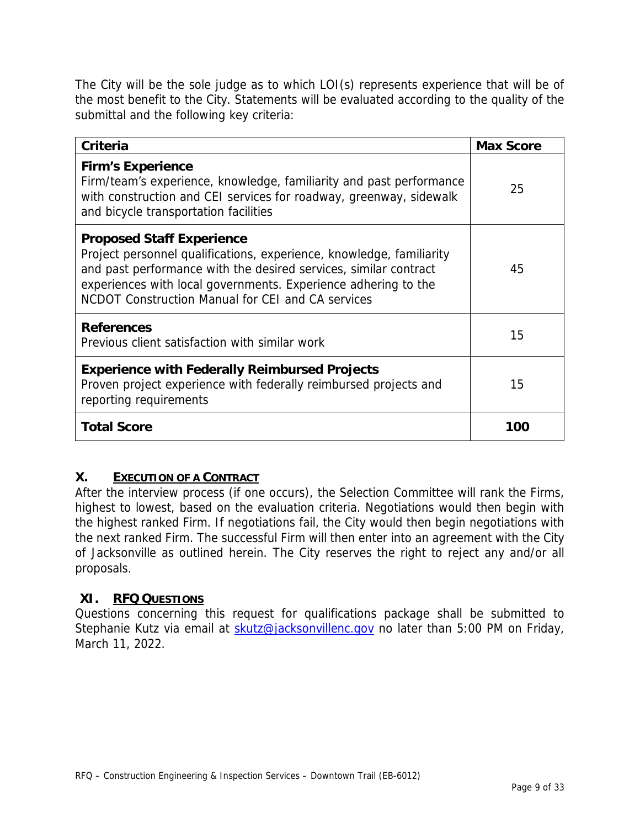The City will be the sole judge as to which LOI(s) represents experience that will be of the most benefit to the City. Statements will be evaluated according to the quality of the submittal and the following key criteria:

| <b>Criteria</b>                                                                                                                                                                                                                                                                                     | <b>Max Score</b> |
|-----------------------------------------------------------------------------------------------------------------------------------------------------------------------------------------------------------------------------------------------------------------------------------------------------|------------------|
| <b>Firm's Experience</b><br>Firm/team's experience, knowledge, familiarity and past performance<br>with construction and CEI services for roadway, greenway, sidewalk<br>and bicycle transportation facilities                                                                                      | 25               |
| <b>Proposed Staff Experience</b><br>Project personnel qualifications, experience, knowledge, familiarity<br>and past performance with the desired services, similar contract<br>experiences with local governments. Experience adhering to the<br>NCDOT Construction Manual for CEI and CA services | 45               |
| <b>References</b><br>Previous client satisfaction with similar work                                                                                                                                                                                                                                 | 15               |
| <b>Experience with Federally Reimbursed Projects</b><br>Proven project experience with federally reimbursed projects and<br>reporting requirements                                                                                                                                                  | 15               |
| <b>Total Score</b>                                                                                                                                                                                                                                                                                  | 100              |

#### **X. EXECUTION OF A CONTRACT**

After the interview process (if one occurs), the Selection Committee will rank the Firms, highest to lowest, based on the evaluation criteria. Negotiations would then begin with the highest ranked Firm. If negotiations fail, the City would then begin negotiations with the next ranked Firm. The successful Firm will then enter into an agreement with the City of Jacksonville as outlined herein. The City reserves the right to reject any and/or all proposals.

#### **XI. RFQ QUESTIONS**

Questions concerning this request for qualifications package shall be submitted to Stephanie Kutz via email at skutz@jacksonvillenc.gov no later than 5:00 PM on Friday, March 11, 2022.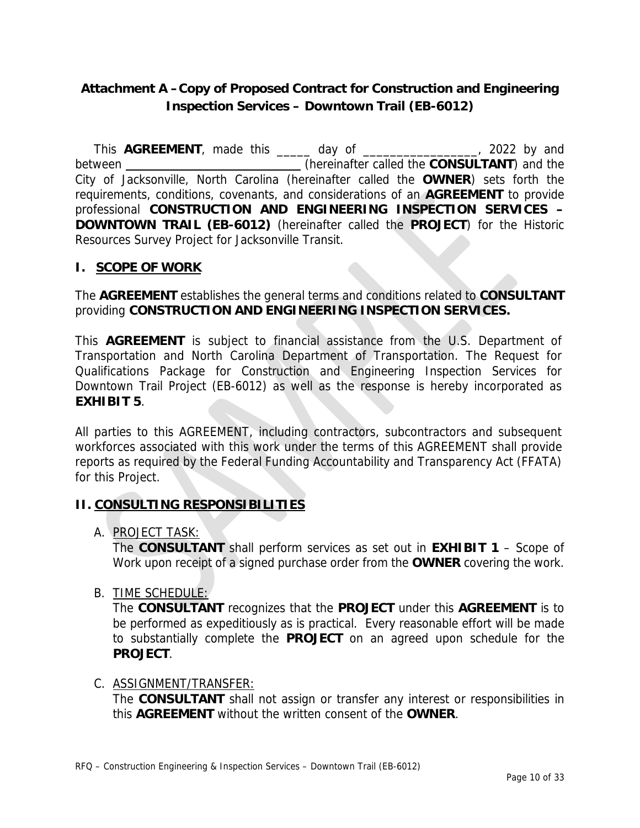## **Attachment A –Copy of Proposed Contract for Construction and Engineering Inspection Services – Downtown Trail (EB-6012)**

 This **AGREEMENT**, made this \_\_\_\_\_ day of \_\_\_\_\_\_\_\_\_\_\_\_\_\_\_\_\_, 2022 by and between (hereinafter called the **CONSULTANT**) and the City of Jacksonville, North Carolina (hereinafter called the **OWNER**) sets forth the requirements, conditions, covenants, and considerations of an **AGREEMENT** to provide professional **CONSTRUCTION AND ENGINEERING INSPECTION SERVICES – DOWNTOWN TRAIL (EB-6012)** (hereinafter called the **PROJECT**) for the Historic Resources Survey Project for Jacksonville Transit.

#### **I. SCOPE OF WORK**

The **AGREEMENT** establishes the general terms and conditions related to **CONSULTANT** providing **CONSTRUCTION AND ENGINEERING INSPECTION SERVICES.** 

This **AGREEMENT** is subject to financial assistance from the U.S. Department of Transportation and North Carolina Department of Transportation. The Request for Qualifications Package for Construction and Engineering Inspection Services for Downtown Trail Project (EB-6012) as well as the response is hereby incorporated as **EXHIBIT 5**.

All parties to this AGREEMENT, including contractors, subcontractors and subsequent workforces associated with this work under the terms of this AGREEMENT shall provide reports as required by the Federal Funding Accountability and Transparency Act (FFATA) for this Project.

## **II. CONSULTING RESPONSIBILITIES**

A. PROJECT TASK:

The **CONSULTANT** shall perform services as set out in **EXHIBIT 1** – Scope of Work upon receipt of a signed purchase order from the **OWNER** covering the work.

B. TIME SCHEDULE:

The **CONSULTANT** recognizes that the **PROJECT** under this **AGREEMENT** is to be performed as expeditiously as is practical. Every reasonable effort will be made to substantially complete the **PROJECT** on an agreed upon schedule for the **PROJECT**.

#### C. ASSIGNMENT/TRANSFER:

The **CONSULTANT** shall not assign or transfer any interest or responsibilities in this **AGREEMENT** without the written consent of the **OWNER**.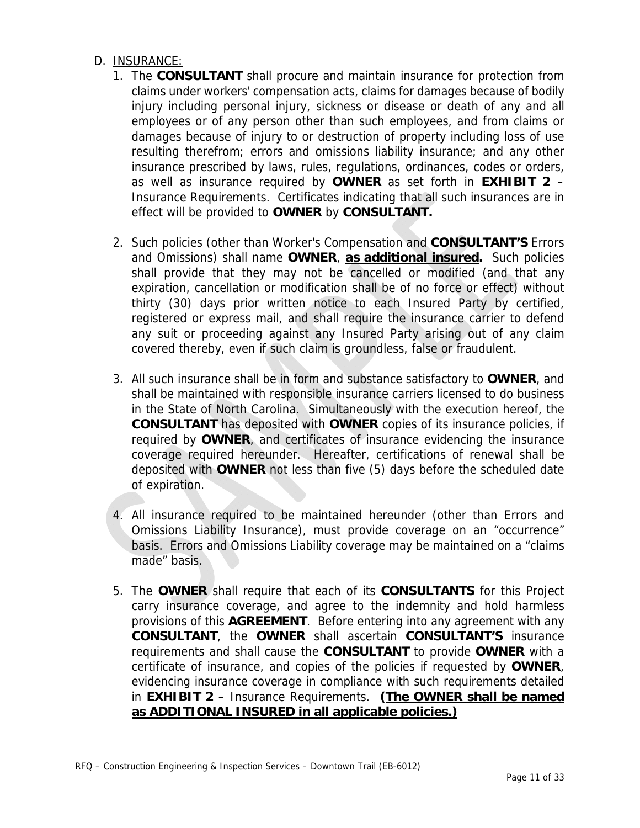#### D. INSURANCE:

- 1. The **CONSULTANT** shall procure and maintain insurance for protection from claims under workers' compensation acts, claims for damages because of bodily injury including personal injury, sickness or disease or death of any and all employees or of any person other than such employees, and from claims or damages because of injury to or destruction of property including loss of use resulting therefrom; errors and omissions liability insurance; and any other insurance prescribed by laws, rules, regulations, ordinances, codes or orders, as well as insurance required by **OWNER** as set forth in **EXHIBIT 2** – Insurance Requirements. Certificates indicating that all such insurances are in effect will be provided to **OWNER** by **CONSULTANT.**
- 2. Such policies (other than Worker's Compensation and **CONSULTANT'S** Errors and Omissions) shall name **OWNER**, **as additional insured.** Such policies shall provide that they may not be cancelled or modified (and that any expiration, cancellation or modification shall be of no force or effect) without thirty (30) days prior written notice to each Insured Party by certified, registered or express mail, and shall require the insurance carrier to defend any suit or proceeding against any Insured Party arising out of any claim covered thereby, even if such claim is groundless, false or fraudulent.
- 3. All such insurance shall be in form and substance satisfactory to **OWNER**, and shall be maintained with responsible insurance carriers licensed to do business in the State of North Carolina. Simultaneously with the execution hereof, the **CONSULTANT** has deposited with **OWNER** copies of its insurance policies, if required by **OWNER**, and certificates of insurance evidencing the insurance coverage required hereunder. Hereafter, certifications of renewal shall be deposited with **OWNER** not less than five (5) days before the scheduled date of expiration.
- 4. All insurance required to be maintained hereunder (other than Errors and Omissions Liability Insurance), must provide coverage on an "occurrence" basis. Errors and Omissions Liability coverage may be maintained on a "claims made" basis.
- 5. The **OWNER** shall require that each of its **CONSULTANTS** for this Project carry insurance coverage, and agree to the indemnity and hold harmless provisions of this **AGREEMENT**. Before entering into any agreement with any **CONSULTANT**, the **OWNER** shall ascertain **CONSULTANT'S** insurance requirements and shall cause the **CONSULTANT** to provide **OWNER** with a certificate of insurance, and copies of the policies if requested by **OWNER**, evidencing insurance coverage in compliance with such requirements detailed in **EXHIBIT 2** – Insurance Requirements. **(The OWNER shall be named as ADDITIONAL INSURED in all applicable policies.)**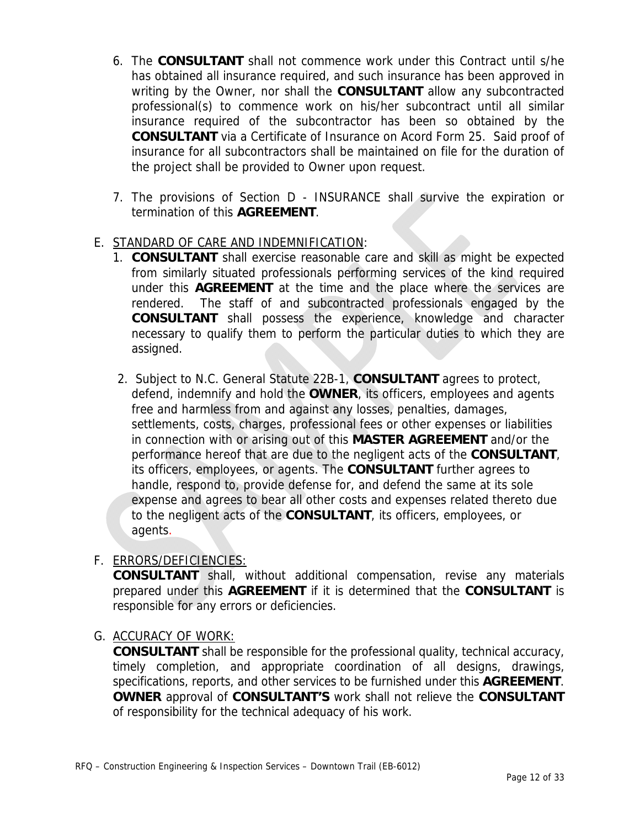- 6. The **CONSULTANT** shall not commence work under this Contract until s/he has obtained all insurance required, and such insurance has been approved in writing by the Owner, nor shall the **CONSULTANT** allow any subcontracted professional(s) to commence work on his/her subcontract until all similar insurance required of the subcontractor has been so obtained by the **CONSULTANT** via a Certificate of Insurance on Acord Form 25. Said proof of insurance for all subcontractors shall be maintained on file for the duration of the project shall be provided to Owner upon request.
- 7. The provisions of Section D INSURANCE shall survive the expiration or termination of this **AGREEMENT**.

#### E. STANDARD OF CARE AND INDEMNIFICATION:

- 1. **CONSULTANT** shall exercise reasonable care and skill as might be expected from similarly situated professionals performing services of the kind required under this **AGREEMENT** at the time and the place where the services are rendered. The staff of and subcontracted professionals engaged by the **CONSULTANT** shall possess the experience, knowledge and character necessary to qualify them to perform the particular duties to which they are assigned.
- 2. Subject to N.C. General Statute 22B-1, **CONSULTANT** agrees to protect, defend, indemnify and hold the **OWNER**, its officers, employees and agents free and harmless from and against any losses, penalties, damages, settlements, costs, charges, professional fees or other expenses or liabilities in connection with or arising out of this **MASTER AGREEMENT** and/or the performance hereof that are due to the negligent acts of the **CONSULTANT**, its officers, employees, or agents. The **CONSULTANT** further agrees to handle, respond to, provide defense for, and defend the same at its sole expense and agrees to bear all other costs and expenses related thereto due to the negligent acts of the **CONSULTANT**, its officers, employees, or agents.

#### F. ERRORS/DEFICIENCIES:

**CONSULTANT** shall, without additional compensation, revise any materials prepared under this **AGREEMENT** if it is determined that the **CONSULTANT** is responsible for any errors or deficiencies.

#### G. ACCURACY OF WORK:

**CONSULTANT** shall be responsible for the professional quality, technical accuracy, timely completion, and appropriate coordination of all designs, drawings, specifications, reports, and other services to be furnished under this **AGREEMENT**. **OWNER** approval of **CONSULTANT'S** work shall not relieve the **CONSULTANT** of responsibility for the technical adequacy of his work.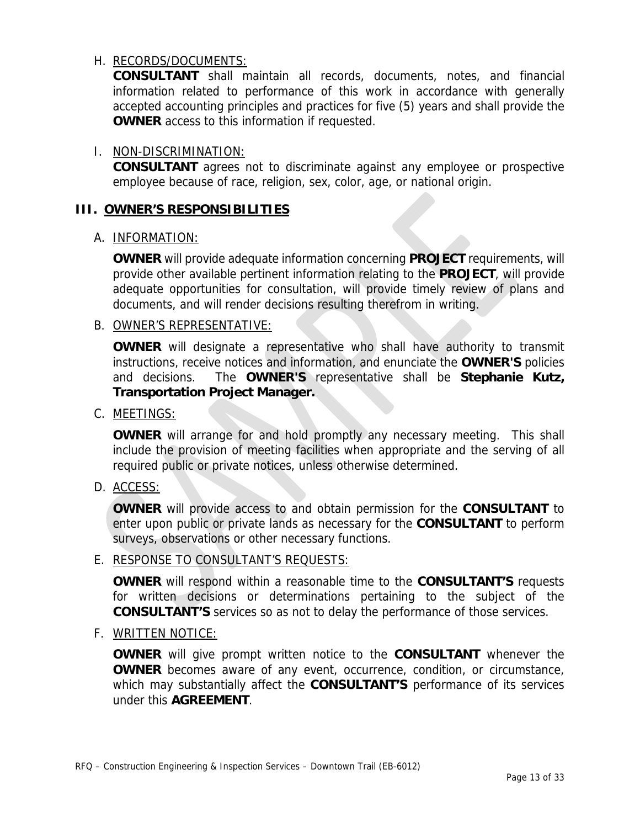#### H. RECORDS/DOCUMENTS:

**CONSULTANT** shall maintain all records, documents, notes, and financial information related to performance of this work in accordance with generally accepted accounting principles and practices for five (5) years and shall provide the **OWNER** access to this information if requested.

#### I. NON-DISCRIMINATION:

**CONSULTANT** agrees not to discriminate against any employee or prospective employee because of race, religion, sex, color, age, or national origin.

#### **III. OWNER'S RESPONSIBILITIES**

#### A. INFORMATION:

**OWNER** will provide adequate information concerning **PROJECT** requirements, will provide other available pertinent information relating to the **PROJECT**, will provide adequate opportunities for consultation, will provide timely review of plans and documents, and will render decisions resulting therefrom in writing.

#### B. OWNER'S REPRESENTATIVE:

**OWNER** will designate a representative who shall have authority to transmit instructions, receive notices and information, and enunciate the **OWNER'S** policies and decisions. The **OWNER'S** representative shall be **Stephanie Kutz, Transportation Project Manager.** 

#### C. MEETINGS:

**OWNER** will arrange for and hold promptly any necessary meeting. This shall include the provision of meeting facilities when appropriate and the serving of all required public or private notices, unless otherwise determined.

D. ACCESS:

**OWNER** will provide access to and obtain permission for the **CONSULTANT** to enter upon public or private lands as necessary for the **CONSULTANT** to perform surveys, observations or other necessary functions.

#### E. RESPONSE TO CONSULTANT'S REQUESTS:

**OWNER** will respond within a reasonable time to the **CONSULTANT'S** requests for written decisions or determinations pertaining to the subject of the **CONSULTANT'S** services so as not to delay the performance of those services.

#### F. WRITTEN NOTICE:

**OWNER** will give prompt written notice to the **CONSULTANT** whenever the **OWNER** becomes aware of any event, occurrence, condition, or circumstance, which may substantially affect the **CONSULTANT'S** performance of its services under this **AGREEMENT**.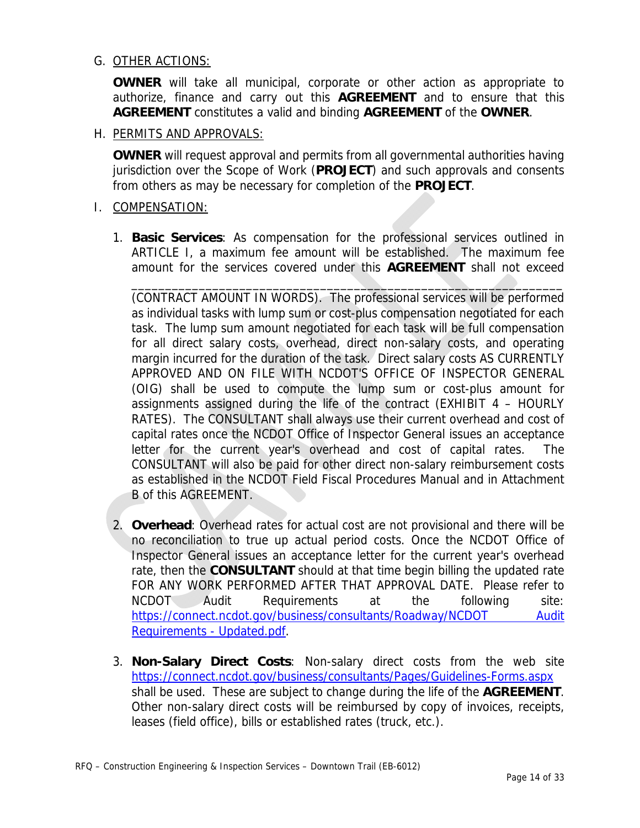#### G. OTHER ACTIONS:

**OWNER** will take all municipal, corporate or other action as appropriate to authorize, finance and carry out this **AGREEMENT** and to ensure that this **AGREEMENT** constitutes a valid and binding **AGREEMENT** of the **OWNER**.

H. PERMITS AND APPROVALS:

**OWNER** will request approval and permits from all governmental authorities having jurisdiction over the Scope of Work (**PROJECT**) and such approvals and consents from others as may be necessary for completion of the **PROJECT**.

- I. COMPENSATION:
	- 1. **Basic Services**: As compensation for the professional services outlined in ARTICLE I, a maximum fee amount will be established. The maximum fee amount for the services covered under this **AGREEMENT** shall not exceed

 $\blacksquare$ 

(CONTRACT AMOUNT IN WORDS). The professional services will be performed as individual tasks with lump sum or cost-plus compensation negotiated for each task. The lump sum amount negotiated for each task will be full compensation for all direct salary costs, overhead, direct non-salary costs, and operating margin incurred for the duration of the task. Direct salary costs AS CURRENTLY APPROVED AND ON FILE WITH NCDOT'S OFFICE OF INSPECTOR GENERAL (OIG) shall be used to compute the lump sum or cost-plus amount for assignments assigned during the life of the contract (EXHIBIT 4 – HOURLY RATES). The CONSULTANT shall always use their current overhead and cost of capital rates once the NCDOT Office of Inspector General issues an acceptance letter for the current year's overhead and cost of capital rates. The CONSULTANT will also be paid for other direct non-salary reimbursement costs as established in the NCDOT Field Fiscal Procedures Manual and in Attachment B of this AGREEMENT.

- 2. **Overhead**: Overhead rates for actual cost are not provisional and there will be no reconciliation to true up actual period costs. Once the NCDOT Office of Inspector General issues an acceptance letter for the current year's overhead rate, then the **CONSULTANT** should at that time begin billing the updated rate FOR ANY WORK PERFORMED AFTER THAT APPROVAL DATE. Please refer to NCDOT Audit Requirements at the following site: https://connect.ncdot.gov/business/consultants/Roadway/NCDOT Audit Requirements - Updated.pdf.
- 3. **Non-Salary Direct Costs**: Non-salary direct costs from the web site https://connect.ncdot.gov/business/consultants/Pages/Guidelines-Forms.aspx shall be used. These are subject to change during the life of the **AGREEMENT**. Other non-salary direct costs will be reimbursed by copy of invoices, receipts, leases (field office), bills or established rates (truck, etc.).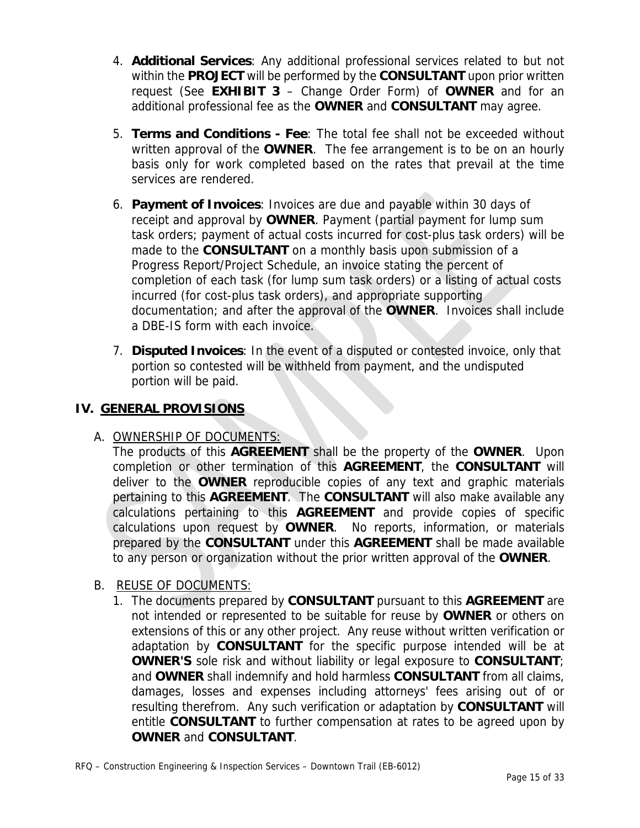- 4. **Additional Services**: Any additional professional services related to but not within the **PROJECT** will be performed by the **CONSULTANT** upon prior written request (See **EXHIBIT 3** – Change Order Form) of **OWNER** and for an additional professional fee as the **OWNER** and **CONSULTANT** may agree.
- 5. **Terms and Conditions Fee**: The total fee shall not be exceeded without written approval of the **OWNER**. The fee arrangement is to be on an hourly basis only for work completed based on the rates that prevail at the time services are rendered.
- 6. **Payment of Invoices**: Invoices are due and payable within 30 days of receipt and approval by **OWNER**. Payment (partial payment for lump sum task orders; payment of actual costs incurred for cost-plus task orders) will be made to the **CONSULTANT** on a monthly basis upon submission of a Progress Report/Project Schedule, an invoice stating the percent of completion of each task (for lump sum task orders) or a listing of actual costs incurred (for cost-plus task orders), and appropriate supporting documentation; and after the approval of the **OWNER**. Invoices shall include a DBE-IS form with each invoice.
- 7. **Disputed Invoices**: In the event of a disputed or contested invoice, only that portion so contested will be withheld from payment, and the undisputed portion will be paid.

## **IV. GENERAL PROVISIONS**

## A. OWNERSHIP OF DOCUMENTS:

 The products of this **AGREEMENT** shall be the property of the **OWNER**. Upon completion or other termination of this **AGREEMENT**, the **CONSULTANT** will deliver to the **OWNER** reproducible copies of any text and graphic materials pertaining to this **AGREEMENT**. The **CONSULTANT** will also make available any calculations pertaining to this **AGREEMENT** and provide copies of specific calculations upon request by **OWNER**. No reports, information, or materials prepared by the **CONSULTANT** under this **AGREEMENT** shall be made available to any person or organization without the prior written approval of the **OWNER**.

## B. REUSE OF DOCUMENTS:

1. The documents prepared by **CONSULTANT** pursuant to this **AGREEMENT** are not intended or represented to be suitable for reuse by **OWNER** or others on extensions of this or any other project. Any reuse without written verification or adaptation by **CONSULTANT** for the specific purpose intended will be at **OWNER'S** sole risk and without liability or legal exposure to **CONSULTANT**; and **OWNER** shall indemnify and hold harmless **CONSULTANT** from all claims, damages, losses and expenses including attorneys' fees arising out of or resulting therefrom. Any such verification or adaptation by **CONSULTANT** will entitle **CONSULTANT** to further compensation at rates to be agreed upon by **OWNER** and **CONSULTANT**.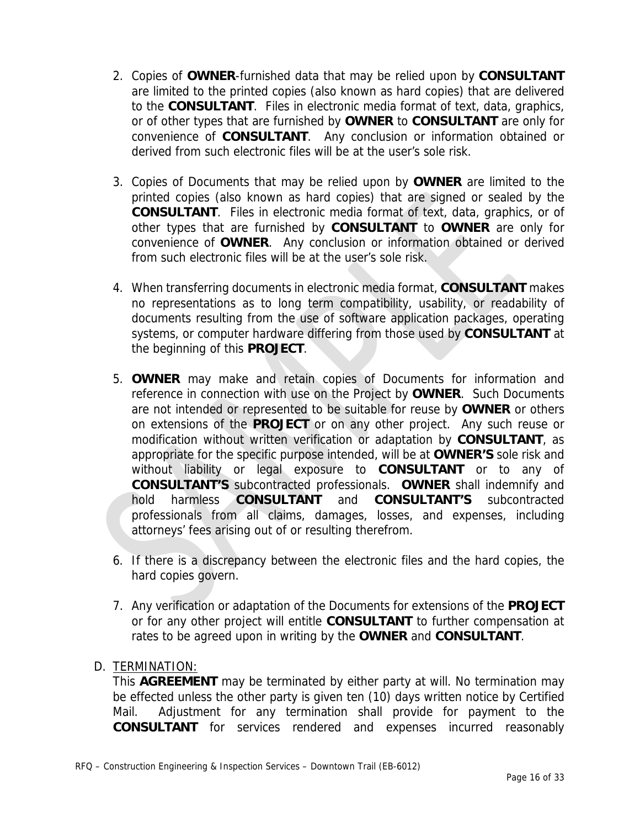- 2. Copies of **OWNER**-furnished data that may be relied upon by **CONSULTANT**  are limited to the printed copies (also known as hard copies) that are delivered to the **CONSULTANT**. Files in electronic media format of text, data, graphics, or of other types that are furnished by **OWNER** to **CONSULTANT** are only for convenience of **CONSULTANT**. Any conclusion or information obtained or derived from such electronic files will be at the user's sole risk.
- 3. Copies of Documents that may be relied upon by **OWNER** are limited to the printed copies (also known as hard copies) that are signed or sealed by the **CONSULTANT**. Files in electronic media format of text, data, graphics, or of other types that are furnished by **CONSULTANT** to **OWNER** are only for convenience of **OWNER**. Any conclusion or information obtained or derived from such electronic files will be at the user's sole risk.
- 4. When transferring documents in electronic media format, **CONSULTANT** makes no representations as to long term compatibility, usability, or readability of documents resulting from the use of software application packages, operating systems, or computer hardware differing from those used by **CONSULTANT** at the beginning of this **PROJECT**.
- 5. **OWNER** may make and retain copies of Documents for information and reference in connection with use on the Project by **OWNER**. Such Documents are not intended or represented to be suitable for reuse by **OWNER** or others on extensions of the **PROJECT** or on any other project. Any such reuse or modification without written verification or adaptation by **CONSULTANT**, as appropriate for the specific purpose intended, will be at **OWNER'S** sole risk and without liability or legal exposure to **CONSULTANT** or to any of **CONSULTANT'S** subcontracted professionals. **OWNER** shall indemnify and hold harmless **CONSULTANT** and **CONSULTANT'S** subcontracted professionals from all claims, damages, losses, and expenses, including attorneys' fees arising out of or resulting therefrom.
- 6. If there is a discrepancy between the electronic files and the hard copies, the hard copies govern.
- 7. Any verification or adaptation of the Documents for extensions of the **PROJECT** or for any other project will entitle **CONSULTANT** to further compensation at rates to be agreed upon in writing by the **OWNER** and **CONSULTANT**.
- D. TERMINATION:

This **AGREEMENT** may be terminated by either party at will. No termination may be effected unless the other party is given ten (10) days written notice by Certified Mail. Adjustment for any termination shall provide for payment to the **CONSULTANT** for services rendered and expenses incurred reasonably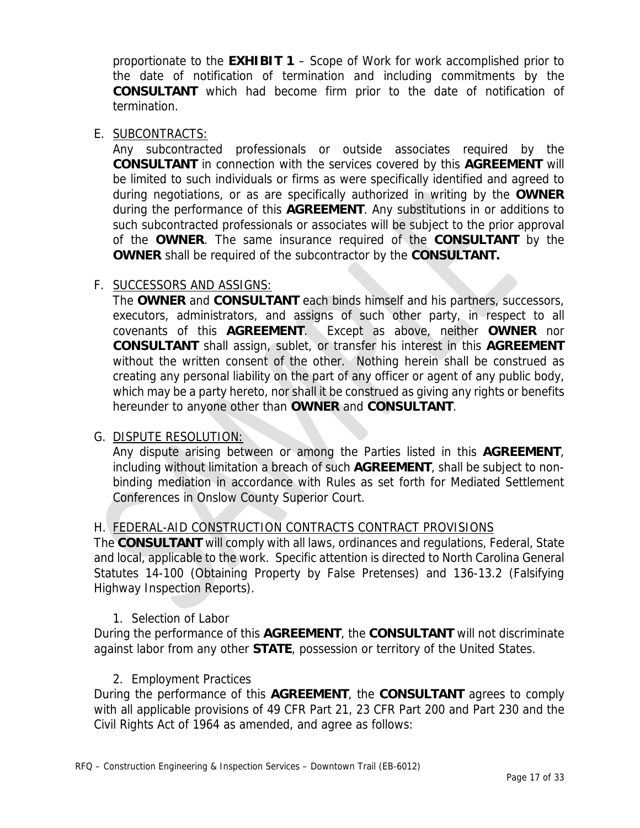proportionate to the **EXHIBIT 1** – Scope of Work for work accomplished prior to the date of notification of termination and including commitments by the **CONSULTANT** which had become firm prior to the date of notification of termination.

#### E. SUBCONTRACTS:

Any subcontracted professionals or outside associates required by the **CONSULTANT** in connection with the services covered by this **AGREEMENT** will be limited to such individuals or firms as were specifically identified and agreed to during negotiations, or as are specifically authorized in writing by the **OWNER**  during the performance of this **AGREEMENT**. Any substitutions in or additions to such subcontracted professionals or associates will be subject to the prior approval of the **OWNER**. The same insurance required of the **CONSULTANT** by the **OWNER** shall be required of the subcontractor by the **CONSULTANT.**

### F. SUCCESSORS AND ASSIGNS:

The **OWNER** and **CONSULTANT** each binds himself and his partners, successors, executors, administrators, and assigns of such other party, in respect to all covenants of this **AGREEMENT**. Except as above, neither **OWNER** nor **CONSULTANT** shall assign, sublet, or transfer his interest in this **AGREEMENT** without the written consent of the other. Nothing herein shall be construed as creating any personal liability on the part of any officer or agent of any public body, which may be a party hereto, nor shall it be construed as giving any rights or benefits hereunder to anyone other than **OWNER** and **CONSULTANT**.

#### G. DISPUTE RESOLUTION:

Any dispute arising between or among the Parties listed in this **AGREEMENT**, including without limitation a breach of such **AGREEMENT**, shall be subject to nonbinding mediation in accordance with Rules as set forth for Mediated Settlement Conferences in Onslow County Superior Court.

#### H. FEDERAL-AID CONSTRUCTION CONTRACTS CONTRACT PROVISIONS

The **CONSULTANT** will comply with all laws, ordinances and regulations, Federal, State and local, applicable to the work. Specific attention is directed to North Carolina General Statutes 14-100 (Obtaining Property by False Pretenses) and 136-13.2 (Falsifying Highway Inspection Reports).

#### 1. Selection of Labor

During the performance of this **AGREEMENT**, the **CONSULTANT** will not discriminate against labor from any other **STATE**, possession or territory of the United States.

#### 2. Employment Practices

During the performance of this **AGREEMENT**, the **CONSULTANT** agrees to comply with all applicable provisions of 49 CFR Part 21, 23 CFR Part 200 and Part 230 and the Civil Rights Act of 1964 as amended, and agree as follows: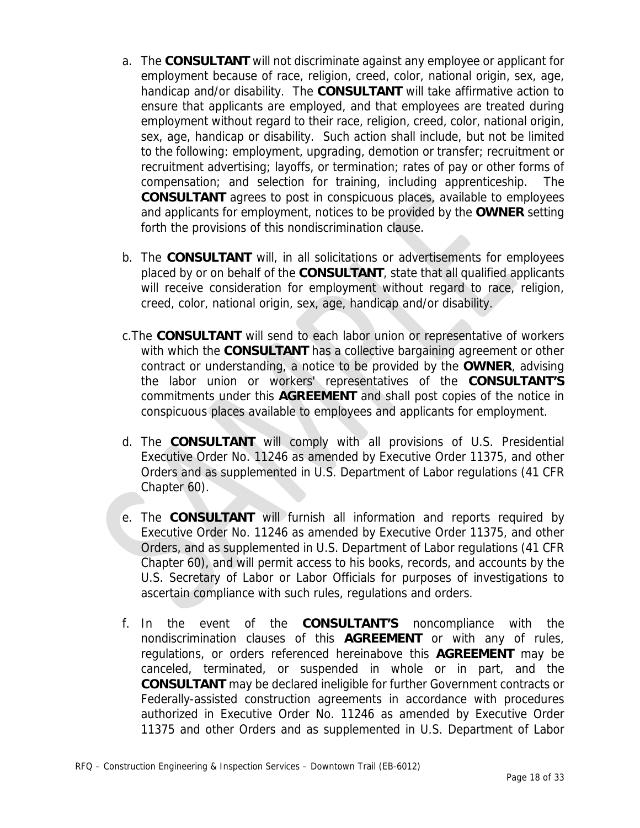- a. The **CONSULTANT** will not discriminate against any employee or applicant for employment because of race, religion, creed, color, national origin, sex, age, handicap and/or disability. The **CONSULTANT** will take affirmative action to ensure that applicants are employed, and that employees are treated during employment without regard to their race, religion, creed, color, national origin, sex, age, handicap or disability. Such action shall include, but not be limited to the following: employment, upgrading, demotion or transfer; recruitment or recruitment advertising; layoffs, or termination; rates of pay or other forms of compensation; and selection for training, including apprenticeship. The **CONSULTANT** agrees to post in conspicuous places, available to employees and applicants for employment, notices to be provided by the **OWNER** setting forth the provisions of this nondiscrimination clause.
- b. The **CONSULTANT** will, in all solicitations or advertisements for employees placed by or on behalf of the **CONSULTANT**, state that all qualified applicants will receive consideration for employment without regard to race, religion, creed, color, national origin, sex, age, handicap and/or disability.
- c.The **CONSULTANT** will send to each labor union or representative of workers with which the **CONSULTANT** has a collective bargaining agreement or other contract or understanding, a notice to be provided by the **OWNER**, advising the labor union or workers' representatives of the **CONSULTANT'S** commitments under this **AGREEMENT** and shall post copies of the notice in conspicuous places available to employees and applicants for employment.
- d. The **CONSULTANT** will comply with all provisions of U.S. Presidential Executive Order No. 11246 as amended by Executive Order 11375, and other Orders and as supplemented in U.S. Department of Labor regulations (41 CFR Chapter 60).
- e. The **CONSULTANT** will furnish all information and reports required by Executive Order No. 11246 as amended by Executive Order 11375, and other Orders, and as supplemented in U.S. Department of Labor regulations (41 CFR Chapter 60), and will permit access to his books, records, and accounts by the U.S. Secretary of Labor or Labor Officials for purposes of investigations to ascertain compliance with such rules, regulations and orders.
- f. In the event of the **CONSULTANT'S** noncompliance with the nondiscrimination clauses of this **AGREEMENT** or with any of rules, regulations, or orders referenced hereinabove this **AGREEMENT** may be canceled, terminated, or suspended in whole or in part, and the **CONSULTANT** may be declared ineligible for further Government contracts or Federally-assisted construction agreements in accordance with procedures authorized in Executive Order No. 11246 as amended by Executive Order 11375 and other Orders and as supplemented in U.S. Department of Labor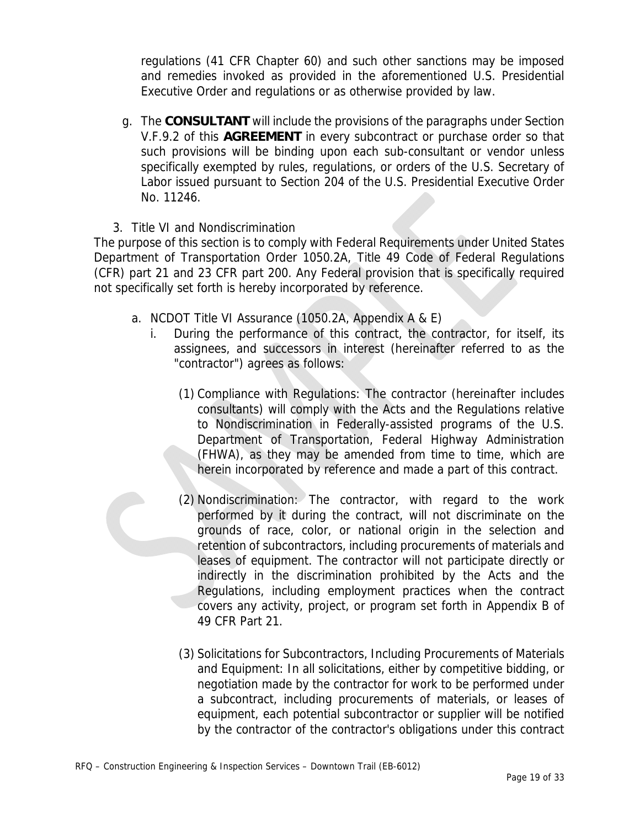regulations (41 CFR Chapter 60) and such other sanctions may be imposed and remedies invoked as provided in the aforementioned U.S. Presidential Executive Order and regulations or as otherwise provided by law.

g. The **CONSULTANT** will include the provisions of the paragraphs under Section V.F.9.2 of this **AGREEMENT** in every subcontract or purchase order so that such provisions will be binding upon each sub-consultant or vendor unless specifically exempted by rules, regulations, or orders of the U.S. Secretary of Labor issued pursuant to Section 204 of the U.S. Presidential Executive Order No. 11246.

#### 3. Title VI and Nondiscrimination

The purpose of this section is to comply with Federal Requirements under United States Department of Transportation Order 1050.2A, Title 49 Code of Federal Regulations (CFR) part 21 and 23 CFR part 200. Any Federal provision that is specifically required not specifically set forth is hereby incorporated by reference.

- a. NCDOT Title VI Assurance (1050.2A, Appendix A & E)
	- i. During the performance of this contract, the contractor, for itself, its assignees, and successors in interest (hereinafter referred to as the "contractor") agrees as follows:
		- (1) Compliance with Regulations: The contractor (hereinafter includes consultants) will comply with the Acts and the Regulations relative to Nondiscrimination in Federally-assisted programs of the U.S. Department of Transportation, Federal Highway Administration (FHWA), as they may be amended from time to time, which are herein incorporated by reference and made a part of this contract.
		- (2) Nondiscrimination: The contractor, with regard to the work performed by it during the contract, will not discriminate on the grounds of race, color, or national origin in the selection and retention of subcontractors, including procurements of materials and leases of equipment. The contractor will not participate directly or indirectly in the discrimination prohibited by the Acts and the Regulations, including employment practices when the contract covers any activity, project, or program set forth in Appendix B of 49 CFR Part 21.
		- (3) Solicitations for Subcontractors, Including Procurements of Materials and Equipment: In all solicitations, either by competitive bidding, or negotiation made by the contractor for work to be performed under a subcontract, including procurements of materials, or leases of equipment, each potential subcontractor or supplier will be notified by the contractor of the contractor's obligations under this contract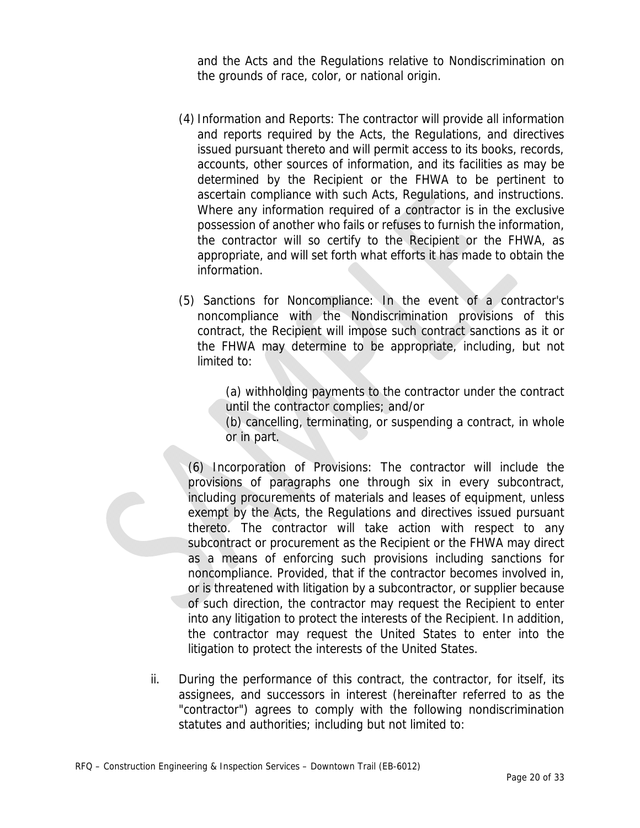and the Acts and the Regulations relative to Nondiscrimination on the grounds of race, color, or national origin.

- (4) Information and Reports: The contractor will provide all information and reports required by the Acts, the Regulations, and directives issued pursuant thereto and will permit access to its books, records, accounts, other sources of information, and its facilities as may be determined by the Recipient or the FHWA to be pertinent to ascertain compliance with such Acts, Regulations, and instructions. Where any information required of a contractor is in the exclusive possession of another who fails or refuses to furnish the information, the contractor will so certify to the Recipient or the FHWA, as appropriate, and will set forth what efforts it has made to obtain the information.
- (5) Sanctions for Noncompliance: In the event of a contractor's noncompliance with the Nondiscrimination provisions of this contract, the Recipient will impose such contract sanctions as it or the FHWA may determine to be appropriate, including, but not limited to:

(a) withholding payments to the contractor under the contract until the contractor complies; and/or

(b) cancelling, terminating, or suspending a contract, in whole or in part.

(6) Incorporation of Provisions: The contractor will include the provisions of paragraphs one through six in every subcontract, including procurements of materials and leases of equipment, unless exempt by the Acts, the Regulations and directives issued pursuant thereto. The contractor will take action with respect to any subcontract or procurement as the Recipient or the FHWA may direct as a means of enforcing such provisions including sanctions for noncompliance. Provided, that if the contractor becomes involved in, or is threatened with litigation by a subcontractor, or supplier because of such direction, the contractor may request the Recipient to enter into any litigation to protect the interests of the Recipient. In addition, the contractor may request the United States to enter into the litigation to protect the interests of the United States.

ii. During the performance of this contract, the contractor, for itself, its assignees, and successors in interest (hereinafter referred to as the "contractor") agrees to comply with the following nondiscrimination statutes and authorities; including but not limited to: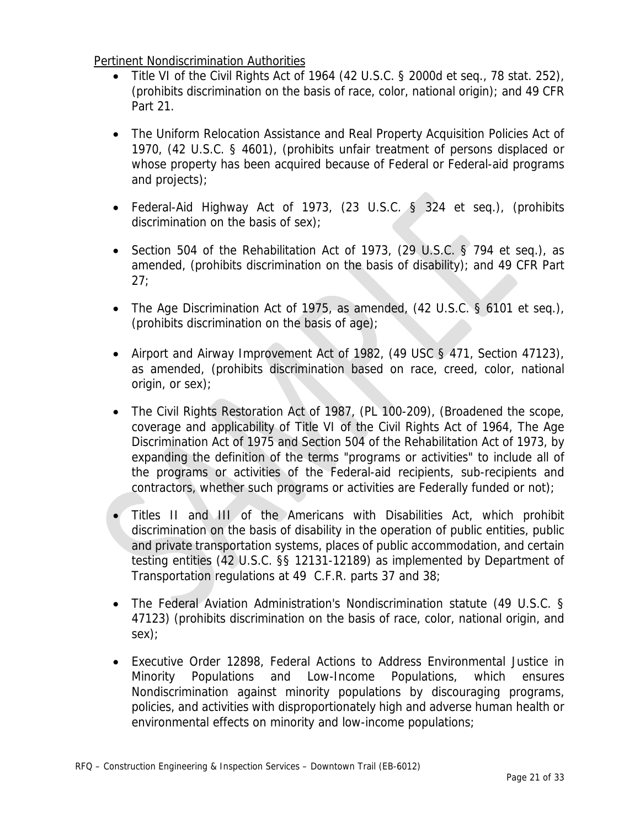Pertinent Nondiscrimination Authorities

- Title VI of the Civil Rights Act of 1964 (42 U.S.C. § 2000d et seq., 78 stat. 252), (prohibits discrimination on the basis of race, color, national origin); and 49 CFR Part 21.
- The Uniform Relocation Assistance and Real Property Acquisition Policies Act of 1970, (42 U.S.C. § 4601), (prohibits unfair treatment of persons displaced or whose property has been acquired because of Federal or Federal-aid programs and projects);
- Federal-Aid Highway Act of 1973, (23 U.S.C. § 324 et seg.), (prohibits discrimination on the basis of sex);
- Section 504 of the Rehabilitation Act of 1973, (29 U.S.C. § 794 et seq.), as amended, (prohibits discrimination on the basis of disability); and 49 CFR Part 27;
- The Age Discrimination Act of 1975, as amended, (42 U.S.C. § 6101 et seq.), (prohibits discrimination on the basis of age);
- Airport and Airway Improvement Act of 1982, (49 USC § 471, Section 47123), as amended, (prohibits discrimination based on race, creed, color, national origin, or sex);
- The Civil Rights Restoration Act of 1987, (PL 100-209), (Broadened the scope, coverage and applicability of Title VI of the Civil Rights Act of 1964, The Age Discrimination Act of 1975 and Section 504 of the Rehabilitation Act of 1973, by expanding the definition of the terms "programs or activities" to include all of the programs or activities of the Federal-aid recipients, sub-recipients and contractors, whether such programs or activities are Federally funded or not);
- Titles II and III of the Americans with Disabilities Act, which prohibit discrimination on the basis of disability in the operation of public entities, public and private transportation systems, places of public accommodation, and certain testing entities (42 U.S.C. §§ 12131-12189) as implemented by Department of Transportation regulations at 49 C.F.R. parts 37 and 38;
- The Federal Aviation Administration's Nondiscrimination statute (49 U.S.C. § 47123) (prohibits discrimination on the basis of race, color, national origin, and sex);
- Executive Order 12898, Federal Actions to Address Environmental Justice in Minority Populations and Low-Income Populations, which ensures Nondiscrimination against minority populations by discouraging programs, policies, and activities with disproportionately high and adverse human health or environmental effects on minority and low-income populations;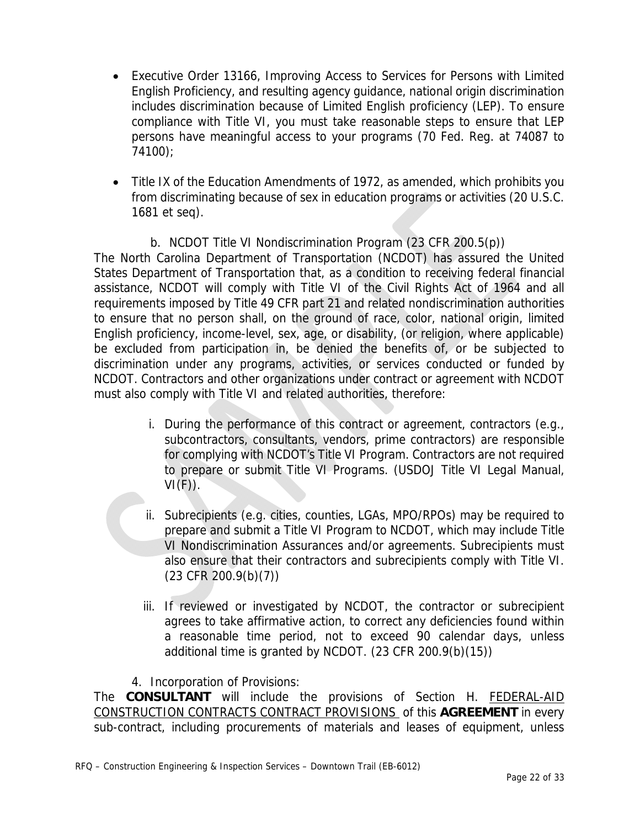- Executive Order 13166, Improving Access to Services for Persons with Limited English Proficiency, and resulting agency guidance, national origin discrimination includes discrimination because of Limited English proficiency (LEP). To ensure compliance with Title VI, you must take reasonable steps to ensure that LEP persons have meaningful access to your programs (70 Fed. Reg. at 74087 to 74100);
- Title IX of the Education Amendments of 1972, as amended, which prohibits you from discriminating because of sex in education programs or activities (20 U.S.C. 1681 et seq).

## b. NCDOT Title VI Nondiscrimination Program (23 CFR 200.5(p))

The North Carolina Department of Transportation (NCDOT) has assured the United States Department of Transportation that, as a condition to receiving federal financial assistance, NCDOT will comply with Title VI of the Civil Rights Act of 1964 and all requirements imposed by Title 49 CFR part 21 and related nondiscrimination authorities to ensure that no person shall, on the ground of race, color, national origin, limited English proficiency, income-level, sex, age, or disability, (or religion, where applicable) be excluded from participation in, be denied the benefits of, or be subjected to discrimination under any programs, activities, or services conducted or funded by NCDOT. Contractors and other organizations under contract or agreement with NCDOT must also comply with Title VI and related authorities, therefore:

- i. During the performance of this contract or agreement, contractors (e.g., subcontractors, consultants, vendors, prime contractors) are responsible for complying with NCDOT's Title VI Program. Contractors are not required to prepare or submit Title VI Programs. (USDOJ Title VI Legal Manual,  $VI(F)$ ).
- ii. Subrecipients (e.g. cities, counties, LGAs, MPO/RPOs) may be required to prepare and submit a Title VI Program to NCDOT, which may include Title VI Nondiscrimination Assurances and/or agreements. Subrecipients must also ensure that their contractors and subrecipients comply with Title VI. (23 CFR 200.9(b)(7))
- iii. If reviewed or investigated by NCDOT, the contractor or subrecipient agrees to take affirmative action, to correct any deficiencies found within a reasonable time period, not to exceed 90 calendar days, unless additional time is granted by NCDOT. (23 CFR 200.9(b)(15))
- 4. Incorporation of Provisions:

The **CONSULTANT** will include the provisions of Section H. FEDERAL-AID CONSTRUCTION CONTRACTS CONTRACT PROVISIONS of this **AGREEMENT** in every sub-contract, including procurements of materials and leases of equipment, unless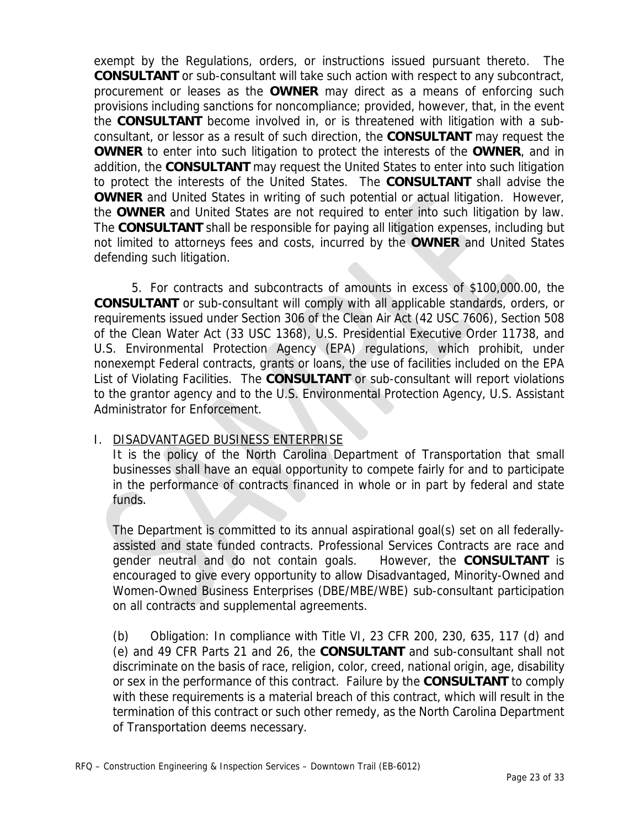exempt by the Regulations, orders, or instructions issued pursuant thereto. The **CONSULTANT** or sub-consultant will take such action with respect to any subcontract, procurement or leases as the **OWNER** may direct as a means of enforcing such provisions including sanctions for noncompliance; provided, however, that, in the event the **CONSULTANT** become involved in, or is threatened with litigation with a subconsultant, or lessor as a result of such direction, the **CONSULTANT** may request the **OWNER** to enter into such litigation to protect the interests of the **OWNER**, and in addition, the **CONSULTANT** may request the United States to enter into such litigation to protect the interests of the United States. The **CONSULTANT** shall advise the **OWNER** and United States in writing of such potential or actual litigation. However, the **OWNER** and United States are not required to enter into such litigation by law. The **CONSULTANT** shall be responsible for paying all litigation expenses, including but not limited to attorneys fees and costs, incurred by the **OWNER** and United States defending such litigation.

5. For contracts and subcontracts of amounts in excess of \$100,000.00, the **CONSULTANT** or sub-consultant will comply with all applicable standards, orders, or requirements issued under Section 306 of the Clean Air Act (42 USC 7606), Section 508 of the Clean Water Act (33 USC 1368), U.S. Presidential Executive Order 11738, and U.S. Environmental Protection Agency (EPA) regulations, which prohibit, under nonexempt Federal contracts, grants or loans, the use of facilities included on the EPA List of Violating Facilities. The **CONSULTANT** or sub-consultant will report violations to the grantor agency and to the U.S. Environmental Protection Agency, U.S. Assistant Administrator for Enforcement.

## I. DISADVANTAGED BUSINESS ENTERPRISE

It is the policy of the North Carolina Department of Transportation that small businesses shall have an equal opportunity to compete fairly for and to participate in the performance of contracts financed in whole or in part by federal and state funds.

The Department is committed to its annual aspirational goal(s) set on all federallyassisted and state funded contracts. Professional Services Contracts are race and gender neutral and do not contain goals. However, the **CONSULTANT** is encouraged to give every opportunity to allow Disadvantaged, Minority-Owned and Women-Owned Business Enterprises (DBE/MBE/WBE) sub-consultant participation on all contracts and supplemental agreements.

(b) Obligation: In compliance with Title VI, 23 CFR 200, 230, 635, 117 (d) and (e) and 49 CFR Parts 21 and 26, the **CONSULTANT** and sub-consultant shall not discriminate on the basis of race, religion, color, creed, national origin, age, disability or sex in the performance of this contract. Failure by the **CONSULTANT** to comply with these requirements is a material breach of this contract, which will result in the termination of this contract or such other remedy, as the North Carolina Department of Transportation deems necessary.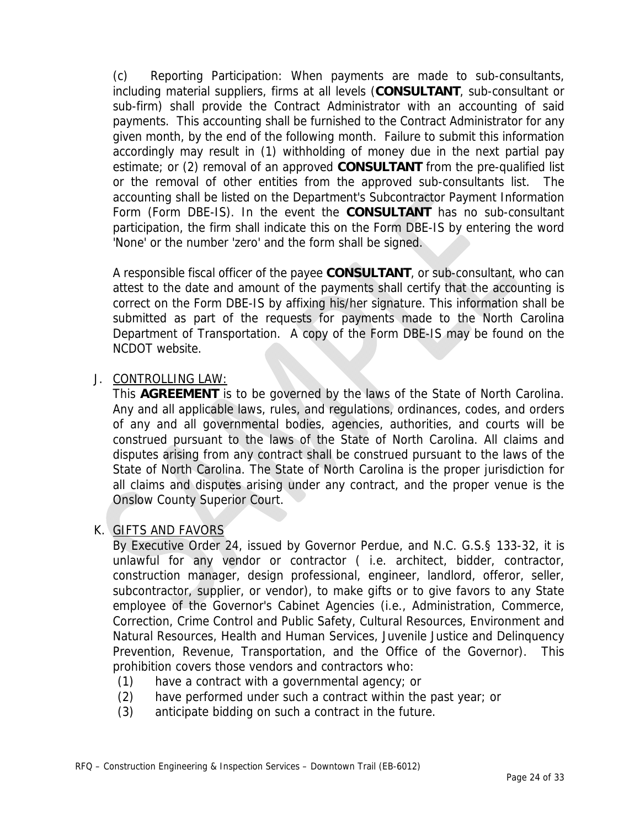(c) Reporting Participation: When payments are made to sub-consultants, including material suppliers, firms at all levels (**CONSULTANT**, sub-consultant or sub-firm) shall provide the Contract Administrator with an accounting of said payments. This accounting shall be furnished to the Contract Administrator for any given month, by the end of the following month. Failure to submit this information accordingly may result in (1) withholding of money due in the next partial pay estimate; or (2) removal of an approved **CONSULTANT** from the pre-qualified list or the removal of other entities from the approved sub-consultants list. The accounting shall be listed on the Department's Subcontractor Payment Information Form (Form DBE-IS). In the event the **CONSULTANT** has no sub-consultant participation, the firm shall indicate this on the Form DBE-IS by entering the word 'None' or the number 'zero' and the form shall be signed.

A responsible fiscal officer of the payee **CONSULTANT**, or sub-consultant, who can attest to the date and amount of the payments shall certify that the accounting is correct on the Form DBE-IS by affixing his/her signature. This information shall be submitted as part of the requests for payments made to the North Carolina Department of Transportation. A copy of the Form DBE-IS may be found on the NCDOT website.

### J. CONTROLLING LAW:

This **AGREEMENT** is to be governed by the laws of the State of North Carolina. Any and all applicable laws, rules, and regulations, ordinances, codes, and orders of any and all governmental bodies, agencies, authorities, and courts will be construed pursuant to the laws of the State of North Carolina. All claims and disputes arising from any contract shall be construed pursuant to the laws of the State of North Carolina. The State of North Carolina is the proper jurisdiction for all claims and disputes arising under any contract, and the proper venue is the Onslow County Superior Court.

#### K. GIFTS AND FAVORS

By Executive Order 24, issued by Governor Perdue, and N.C. G.S.§ 133-32, it is unlawful for any vendor or contractor ( i.e. architect, bidder, contractor, construction manager, design professional, engineer, landlord, offeror, seller, subcontractor, supplier, or vendor), to make gifts or to give favors to any State employee of the Governor's Cabinet Agencies (i.e., Administration, Commerce, Correction, Crime Control and Public Safety, Cultural Resources, Environment and Natural Resources, Health and Human Services, Juvenile Justice and Delinquency Prevention, Revenue, Transportation, and the Office of the Governor). This prohibition covers those vendors and contractors who:

- (1) have a contract with a governmental agency; or
- (2) have performed under such a contract within the past year; or
- (3) anticipate bidding on such a contract in the future.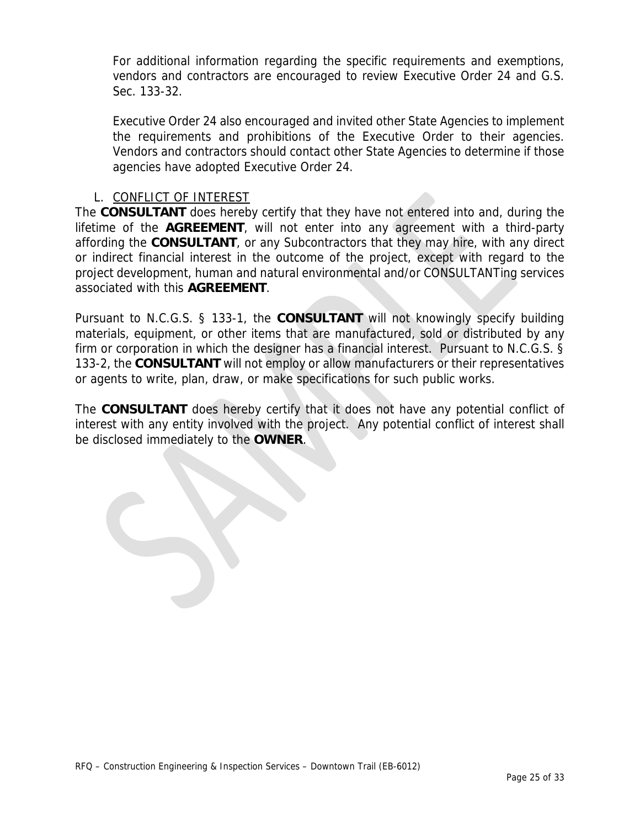For additional information regarding the specific requirements and exemptions, vendors and contractors are encouraged to review Executive Order 24 and G.S. Sec. 133-32.

Executive Order 24 also encouraged and invited other State Agencies to implement the requirements and prohibitions of the Executive Order to their agencies. Vendors and contractors should contact other State Agencies to determine if those agencies have adopted Executive Order 24.

#### L. CONFLICT OF INTEREST

The **CONSULTANT** does hereby certify that they have not entered into and, during the lifetime of the **AGREEMENT**, will not enter into any agreement with a third-party affording the **CONSULTANT**, or any Subcontractors that they may hire, with any direct or indirect financial interest in the outcome of the project, except with regard to the project development, human and natural environmental and/or CONSULTANTing services associated with this **AGREEMENT**.

Pursuant to N.C.G.S. § 133-1, the **CONSULTANT** will not knowingly specify building materials, equipment, or other items that are manufactured, sold or distributed by any firm or corporation in which the designer has a financial interest. Pursuant to N.C.G.S. § 133-2, the **CONSULTANT** will not employ or allow manufacturers or their representatives or agents to write, plan, draw, or make specifications for such public works.

The **CONSULTANT** does hereby certify that it does not have any potential conflict of interest with any entity involved with the project. Any potential conflict of interest shall be disclosed immediately to the **OWNER**.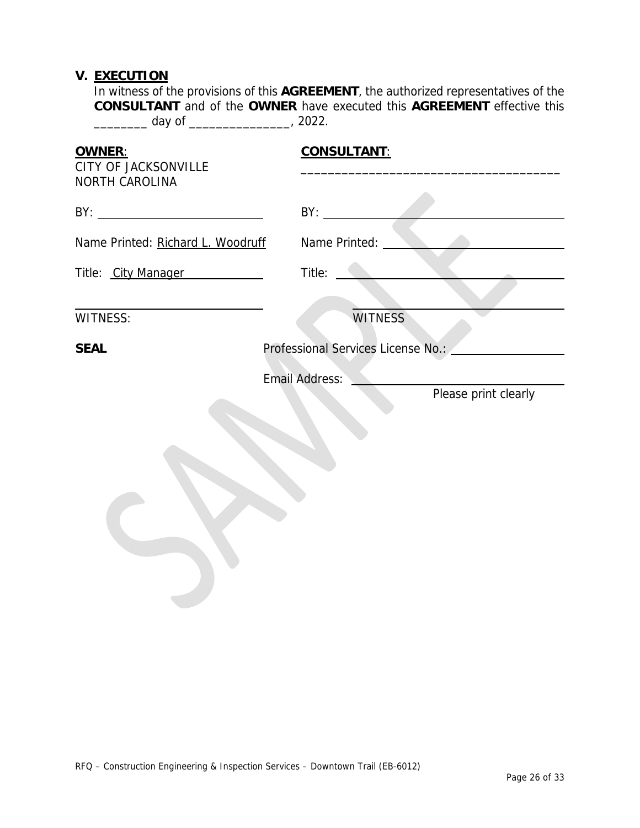### **V. EXECUTION**

In witness of the provisions of this **AGREEMENT**, the authorized representatives of the **CONSULTANT** and of the **OWNER** have executed this **AGREEMENT** effective this \_\_\_\_\_\_\_\_ day of \_\_\_\_\_\_\_\_\_\_\_\_\_\_\_, 2022.

| OWNER:<br>CITY OF JACKSONVILLE    | <b>CONSULTANT:</b>                            |
|-----------------------------------|-----------------------------------------------|
| NORTH CAROLINA                    | BY:                                           |
| Name Printed: Richard L. Woodruff | Name Printed: ___                             |
| Title: City Manager               | Title:                                        |
| <b>WITNESS:</b>                   | <b>WITNESS</b>                                |
| <b>SEAL</b>                       | Professional Services License No.:            |
|                                   | <b>Email Address:</b><br>Please print clearly |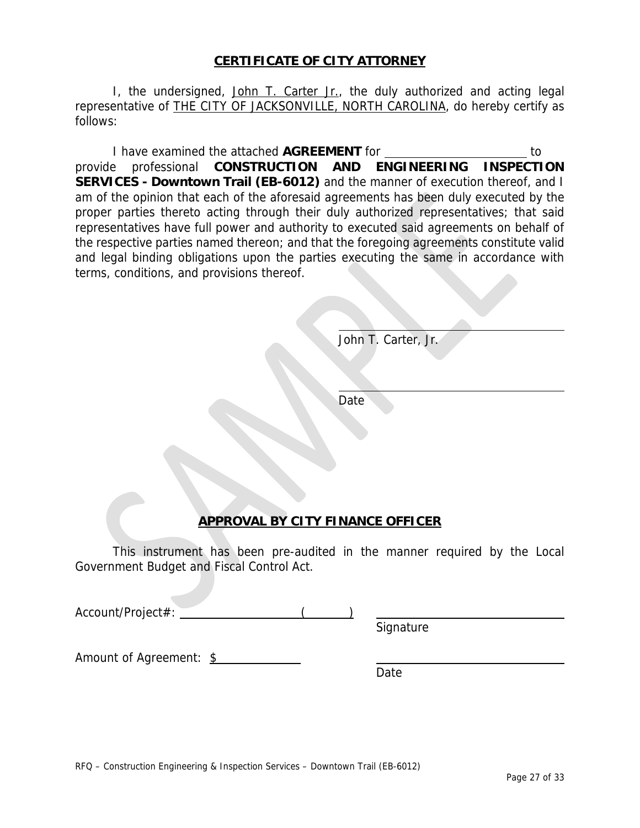#### **CERTIFICATE OF CITY ATTORNEY**

I, the undersigned, John T. Carter Jr., the duly authorized and acting legal representative of THE CITY OF JACKSONVILLE, NORTH CAROLINA, do hereby certify as follows:

I have examined the attached **AGREEMENT** for to provide professional **CONSTRUCTION AND ENGINEERING INSPECTION SERVICES - Downtown Trail (EB-6012)** and the manner of execution thereof, and I am of the opinion that each of the aforesaid agreements has been duly executed by the proper parties thereto acting through their duly authorized representatives; that said representatives have full power and authority to executed said agreements on behalf of the respective parties named thereon; and that the foregoing agreements constitute valid and legal binding obligations upon the parties executing the same in accordance with terms, conditions, and provisions thereof.

John T. Carter, Jr.

**Date** 

l

l

## **APPROVAL BY CITY FINANCE OFFICER**

This instrument has been pre-audited in the manner required by the Local Government Budget and Fiscal Control Act.

Account/Project#: ( )

Amount of Agreement: \$

Date

Signature

RFQ – Construction Engineering & Inspection Services – Downtown Trail (EB-6012)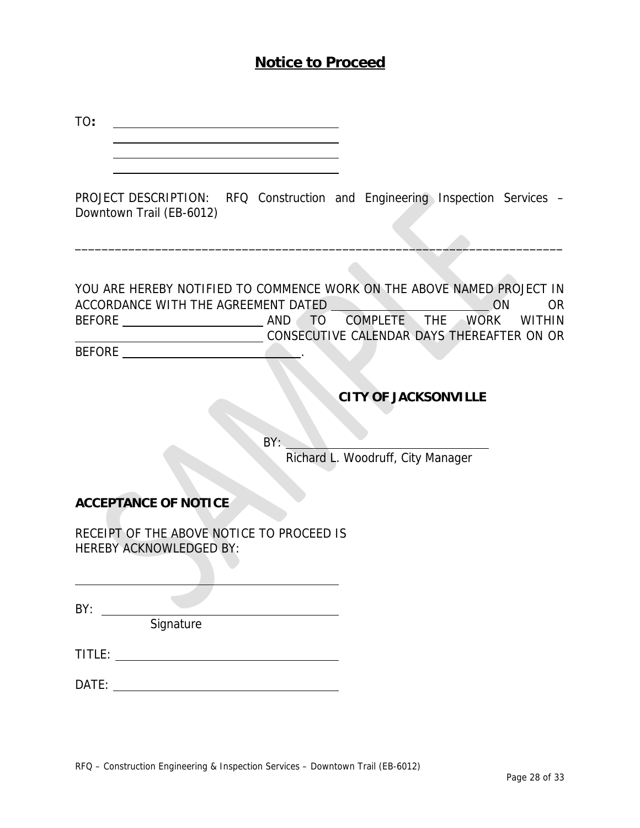## **Notice to Proceed**

| TO:                                                                         |                                                                                                                                                                                   |
|-----------------------------------------------------------------------------|-----------------------------------------------------------------------------------------------------------------------------------------------------------------------------------|
|                                                                             |                                                                                                                                                                                   |
| Downtown Trail (EB-6012)                                                    | PROJECT DESCRIPTION: RFQ Construction and Engineering Inspection Services -                                                                                                       |
| ACCORDANCE WITH THE AGREEMENT DATED<br><b>BEFORE</b>                        | YOU ARE HEREBY NOTIFIED TO COMMENCE WORK ON THE ABOVE NAMED PROJECT IN<br><b>ON</b><br>OR.<br>TO COMPLETE THE WORK<br><b>WITHIN</b><br>CONSECUTIVE CALENDAR DAYS THEREAFTER ON OR |
|                                                                             | <b>CITY OF JACKSONVILLE</b>                                                                                                                                                       |
|                                                                             | BY:<br>Richard L. Woodruff, City Manager                                                                                                                                          |
| <b>ACCEPTANCE OF NOTICE</b>                                                 |                                                                                                                                                                                   |
| RECEIPT OF THE ABOVE NOTICE TO PROCEED IS<br><b>HEREBY ACKNOWLEDGED BY:</b> |                                                                                                                                                                                   |
| BY:<br>Signature                                                            |                                                                                                                                                                                   |
|                                                                             |                                                                                                                                                                                   |
|                                                                             |                                                                                                                                                                                   |
|                                                                             |                                                                                                                                                                                   |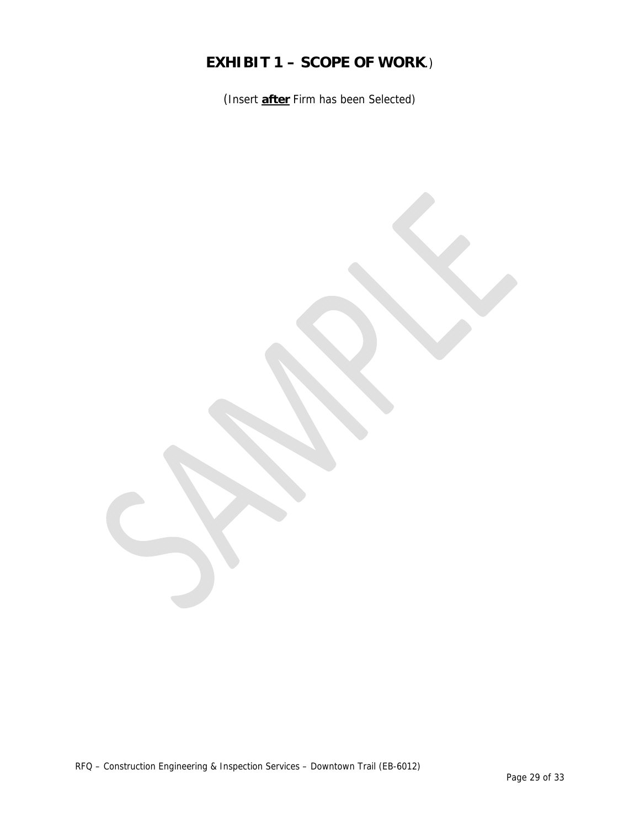## **EXHIBIT 1 – SCOPE OF WORK**.)

(Insert **after** Firm has been Selected)

RFQ – Construction Engineering & Inspection Services – Downtown Trail (EB-6012)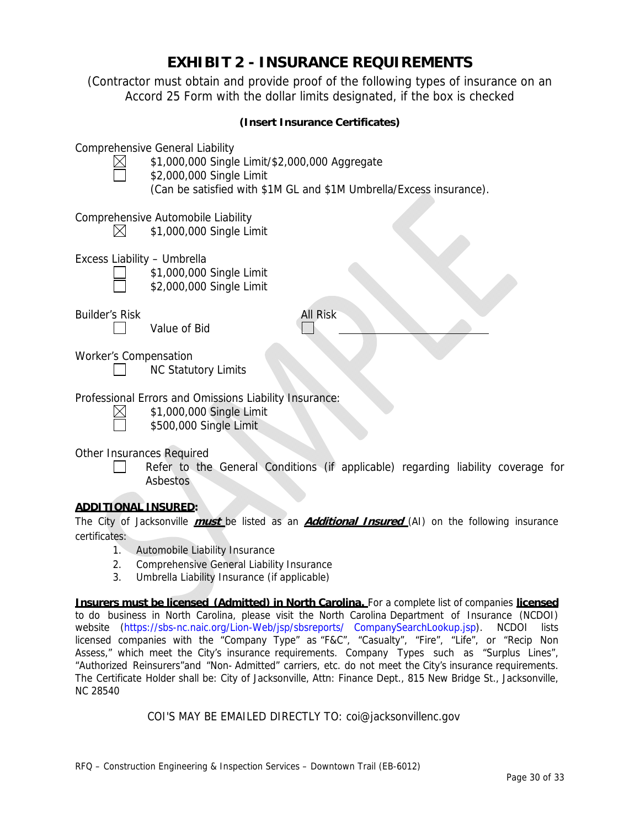## **EXHIBIT 2 - INSURANCE REQUIREMENTS**

(Contractor must obtain and provide proof of the following types of insurance on an Accord 25 Form with the dollar limits designated, if the box is checked

| (Insert Insurance Certificates) |                                                                                                                                                                                             |  |  |
|---------------------------------|---------------------------------------------------------------------------------------------------------------------------------------------------------------------------------------------|--|--|
|                                 | <b>Comprehensive General Liability</b><br>\$1,000,000 Single Limit/\$2,000,000 Aggregate<br>\$2,000,000 Single Limit<br>(Can be satisfied with \$1M GL and \$1M Umbrella/Excess insurance). |  |  |
|                                 | Comprehensive Automobile Liability<br>\$1,000,000 Single Limit                                                                                                                              |  |  |
|                                 | Excess Liability - Umbrella<br>\$1,000,000 Single Limit<br>\$2,000,000 Single Limit                                                                                                         |  |  |
| <b>Builder's Risk</b>           | All Risk<br>Value of Bid                                                                                                                                                                    |  |  |
| <b>Worker's Compensation</b>    | <b>NC Statutory Limits</b>                                                                                                                                                                  |  |  |
|                                 | Professional Errors and Omissions Liability Insurance:<br>\$1,000,000 Single Limit<br>\$500,000 Single Limit                                                                                |  |  |
|                                 | Other Insurances Required<br>Refer to the General Conditions (if applicable) regarding liability coverage for<br>Asbestos                                                                   |  |  |
| <u>ADDITIONAL INSURED:</u>      |                                                                                                                                                                                             |  |  |

#### The City of Jacksonville **must** be listed as an **Additional Insured** (AI) on the following insurance certificates:

- 1. Automobile Liability Insurance
- 2. Comprehensive General Liability Insurance
- 3. Umbrella Liability Insurance (if applicable)

**Insurers must be licensed (Admitted) in North Carolina.** For a complete list of companies **licensed**  to do business in North Carolina, please visit the North Carolina Department of Insurance (NCDOI) website (https://sbs-nc.naic.org/Lion-Web/jsp/sbsreports/ CompanySearchLookup.jsp). NCDOI lists licensed companies with the "Company Type" as "F&C", "Casualty", "Fire", "Life", or "Recip Non Assess," which meet the City's insurance requirements. Company Types such as "Surplus Lines", "Authorized Reinsurers"and "Non- Admitted" carriers, etc. do not meet the City's insurance requirements. The Certificate Holder shall be: City of Jacksonville, Attn: Finance Dept., 815 New Bridge St., Jacksonville, NC 28540

#### COI'S MAY BE EMAILED DIRECTLY TO: coi@jacksonvillenc.gov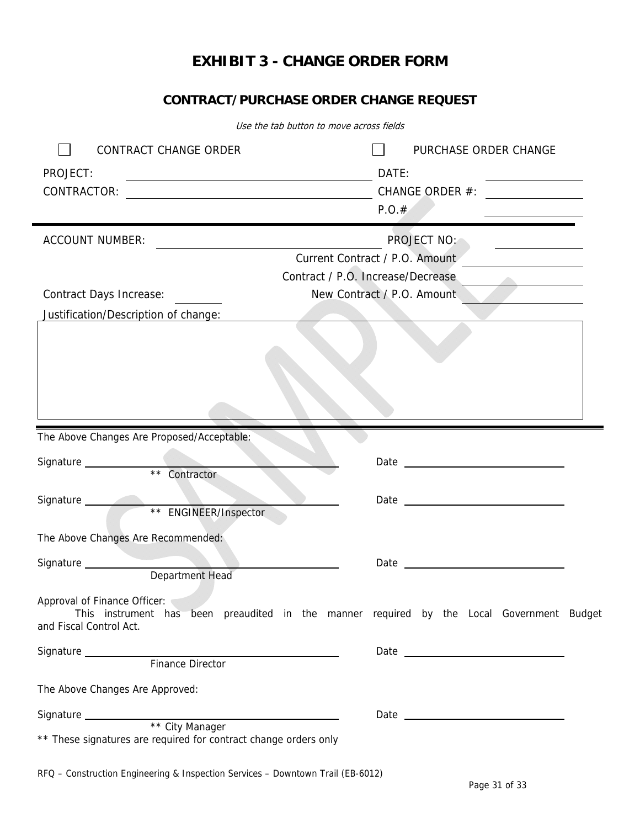## **EXHIBIT 3 - CHANGE ORDER FORM**

## **CONTRACT/PURCHASE ORDER CHANGE REQUEST**

| Use the tab button to move across fields                                                                             |                                                                                                                                                                                                                                |  |  |
|----------------------------------------------------------------------------------------------------------------------|--------------------------------------------------------------------------------------------------------------------------------------------------------------------------------------------------------------------------------|--|--|
| CONTRACT CHANGE ORDER                                                                                                | PURCHASE ORDER CHANGE                                                                                                                                                                                                          |  |  |
| PROJECT:<br><u> 1989 - Johann John Stone, markin f</u>                                                               | DATE:<br><u> 1989 - Johann Barn, mars eta bainar eta idazlea (</u>                                                                                                                                                             |  |  |
| CONTRACTOR:<br><u> 1989 - Johann Barn, fransk politik fotograf (d. 1989)</u>                                         |                                                                                                                                                                                                                                |  |  |
|                                                                                                                      | P.O.#                                                                                                                                                                                                                          |  |  |
| <b>ACCOUNT NUMBER:</b>                                                                                               | PROJECT NO:                                                                                                                                                                                                                    |  |  |
| <u> 1989 - Johann Barbara, martin amerikan basar dan basa dan basar dalam basa dalam basa dalam basa dalam basa </u> | <u> 1989 - Andrea Station Books, amerikansk politiker (</u><br>Current Contract / P.O. Amount                                                                                                                                  |  |  |
|                                                                                                                      | Contract / P.O. Increase/Decrease                                                                                                                                                                                              |  |  |
| <b>Contract Days Increase:</b>                                                                                       | New Contract / P.O. Amount                                                                                                                                                                                                     |  |  |
| Justification/Description of change:                                                                                 |                                                                                                                                                                                                                                |  |  |
|                                                                                                                      |                                                                                                                                                                                                                                |  |  |
|                                                                                                                      |                                                                                                                                                                                                                                |  |  |
|                                                                                                                      |                                                                                                                                                                                                                                |  |  |
|                                                                                                                      |                                                                                                                                                                                                                                |  |  |
|                                                                                                                      |                                                                                                                                                                                                                                |  |  |
|                                                                                                                      |                                                                                                                                                                                                                                |  |  |
| The Above Changes Are Proposed/Acceptable:                                                                           |                                                                                                                                                                                                                                |  |  |
|                                                                                                                      |                                                                                                                                                                                                                                |  |  |
| Signature ___________<br>** Contractor                                                                               | Date experience and the contract of the contract of the contract of the contract of the contract of the contract of the contract of the contract of the contract of the contract of the contract of the contract of the contra |  |  |
|                                                                                                                      |                                                                                                                                                                                                                                |  |  |
| Signature<br>** ENGINEER/Inspector                                                                                   | Date experience and the state of the state of the state of the state of the state of the state of the state of                                                                                                                 |  |  |
|                                                                                                                      |                                                                                                                                                                                                                                |  |  |
| The Above Changes Are Recommended:                                                                                   |                                                                                                                                                                                                                                |  |  |
| Signature __________                                                                                                 | Date                                                                                                                                                                                                                           |  |  |
| Department Head                                                                                                      |                                                                                                                                                                                                                                |  |  |
| Approval of Finance Officer:                                                                                         |                                                                                                                                                                                                                                |  |  |
|                                                                                                                      | This instrument has been preaudited in the manner required by the Local Government Budget                                                                                                                                      |  |  |
| and Fiscal Control Act.                                                                                              |                                                                                                                                                                                                                                |  |  |
|                                                                                                                      | Date and the contract of the contract of the contract of the contract of the contract of the contract of the contract of the contract of the contract of the contract of the contract of the contract of the contract of the c |  |  |
|                                                                                                                      |                                                                                                                                                                                                                                |  |  |
| The Above Changes Are Approved:                                                                                      |                                                                                                                                                                                                                                |  |  |
|                                                                                                                      |                                                                                                                                                                                                                                |  |  |
|                                                                                                                      |                                                                                                                                                                                                                                |  |  |
| ** These signatures are required for contract change orders only                                                     |                                                                                                                                                                                                                                |  |  |
|                                                                                                                      |                                                                                                                                                                                                                                |  |  |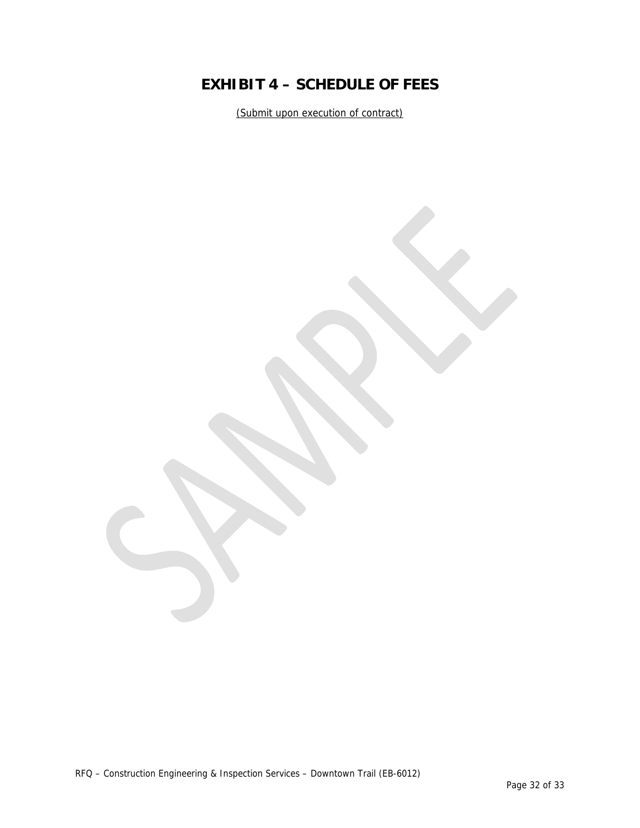## **EXHIBIT 4 – SCHEDULE OF FEES**

(Submit upon execution of contract)